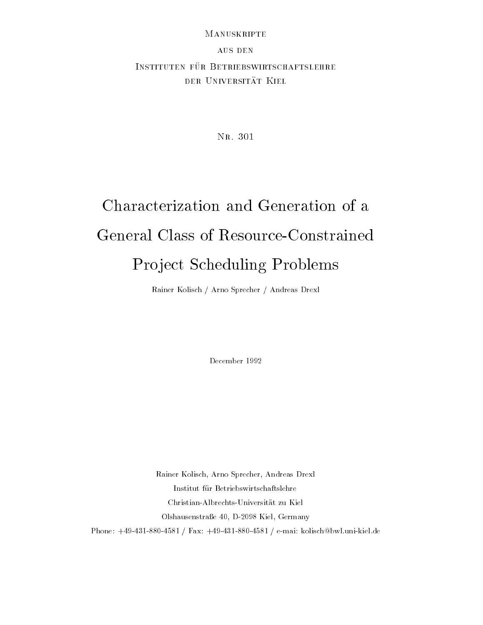#### Manuskripte

## **AUS DEN** INSTITUTEN FÜR BETRIEBSWIRTSCHAFTSLEHRE der Universitat Kiel

Nr. 301

# Characterization and Generation of a General Class of Resource-Constrained Project Scheduling Problems

Rainer Kolisch / Arno Sprecher / Andreas Drexl

December 1992

Rainer Kolisch, Arno Sprecher, Andreas Drexl Institut fur Betriebswirtschaftslehre Christian-Albrechts-Universitat zu Kiel Olshausenstraße 40, D-2098 Kiel, Germany Phone: +49-431-880-4581 / Fax: +49-431-880-4581 / e-mai: kolisch@bwl.uni-kiel.de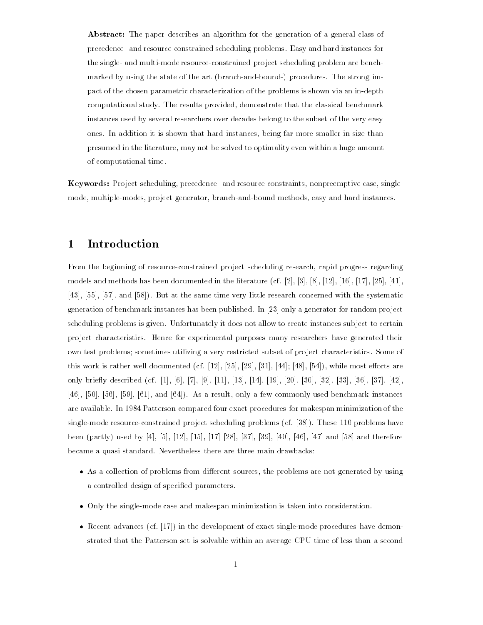Abstract: The paper describes an algorithm for the generation of a general class of precedence- and resource-constrained scheduling problems. Easy and hard instances for the single- and multi-mode resource-constrained project scheduling problem are benchmarked by using the state of the art (branch-and-bound-) procedures. The strong impact of the chosen parametric characterization of the problems is shown via an in-depth computational study. The results provided, demonstrate that the classical benchmark instances used by several researchers over decades belong to the subset of the very easy ones. In addition it is shown that hard instances, being far more smaller in size than presumed in the literature, may not be solved to optimality even within a huge amount of computational time.

Keywords: Project scheduling, precedence- and resource-constraints, nonpreemptive case, singlemode, multiple-modes, project generator, branch-and-bound methods, easy and hard instances.

#### **Introduction**  $\mathbf 1$

From the beginning of resource-constrained project scheduling research, rapid progress regarding models and methods has been documented in the literature (cf.  $[2], [3], [8], [12], [16], [17], [25], [41],$ [43], [55], [57], and [58]). But at the same time very little research concerned with the systematic generation of benchmark instances has been published. In [23] only a generator for random project scheduling problems is given. Unfortunately it does not allow to create instances subject to certain project characteristics. Hence for experimental purposes many researchers have generated their own test problems; sometimes utilizing a very restricted subset of project characteristics. Some of this work is rather well documented (cf.  $[12]$ ,  $[25]$ ,  $[29]$ ,  $[31]$ ,  $[44]$ ;  $[48]$ ,  $[54]$ ), while most efforts are only briefly described (cf. [1], [6], [7], [9], [11], [13], [14], [19], [20], [30], [32], [33], [36], [37], [42], [46], [50], [56], [59], [61], and [64]). As a result, only a few commonly used benchmark instances are available. In 1984 Patterson compared four exact procedures for makespan minimization of the single-mode resource-constrained project scheduling problems (cf. [38]). These 110 problems have been (partly) used by [4], [5], [12], [15], [17] [28], [37], [39], [40], [46], [47] and [58] and therefore became a quasi standard. Nevertheless there are three main drawbacks:

- $\bullet$  As a collection of problems from different sources, the problems are not generated by using a controlled design of specied parameters.
- Only the single-mode case and makespan minimization is taken into consideration.
- Recent advances (cf. [17]) in the development of exact single-mode procedures have demonstrated that the Patterson-set is solvable within an average CPU-time of less than a second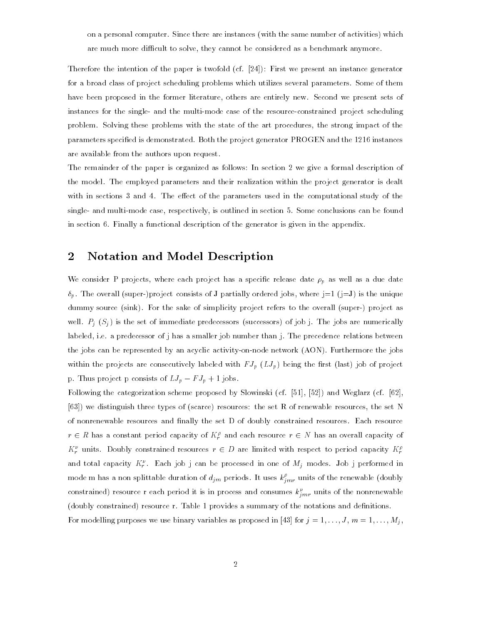on a personal computer. Since there are instances (with the same number of activities) which are much more difficult to solve, they cannot be considered as a benchmark anymore.

Therefore the intention of the paper is twofold (cf. [24]): First we present an instance generator for a broad class of project scheduling problems which utilizes several parameters. Some of them have been proposed in the former literature, others are entirely new. Second we present sets of instances for the single- and the multi-mode case of the resource-constrained project scheduling problem. Solving these problems with the state of the art procedures, the strong impact of the parameters specied is demonstrated. Both the project generator PROGEN and the 1216 instances are available from the authors upon request.

The remainder of the paper is organized as follows: In section 2 we give a formal description of the model. The employed parameters and their realization within the project generator is dealt with in sections  $3$  and  $4$ . The effect of the parameters used in the computational study of the single- and multi-mode case, respectively, is outlined in section 5. Some conclusions can be found in section 6. Finally a functional description of the generator is given in the appendix.

### 2 Notation and Model Description

We consider P projects, where each project has a specific release date p as well as well as well as well as a due date p as well as well as well as well as well as well as a due date p as well as well as well as well as w p . The overall (super-)project consists of J partially ordered jobs, where j=1 (j=J) is the unique dummy source (sink). For the sake of simplicity project refers to the overall (super-) project as well. Pj (Sj ) is the set of immediate predecessors (successors) of job j. The job j. The job j. The job j. The job j. The job j. The job j. The job j. The job j. The job j. The job j. The job j. The job j. The job j. The labeled, i.e. a predecessor of j has a smaller job number than j. The precedence relations between the jobs can be represented by an acyclic activity-on-node network (AON). Furthermore the jobs within the projects are consecutively labeled with F Jp (H-) ) being the first (last) job of projects  $\sim$ p. Thus project p consists of  $L J_p - F J_p + 1$  jobs.

Following the categorization scheme proposed by Slowinski (cf. [51], [52]) and Weglarz (cf. [62], [63]) we distinguish three types of (scarce) resources: the set R of renewable resources, the set N of nonrenewable resources and nally the set D of doubly constrained resources. Each resource  $r \in R$  has a constant period capacity of  $K_f^{\rho}$  and each resource  $r \in N$  has an overall capacity of  $K_r^{\nu}$  units. Doubly constrained resources  $r \in D$  are limited with respect to period capacity  $K_r^{\rho}$ rrand total capacity  $K_r^*$  . Each job j can be processed in one of  $M_j$  modes. Job j performed in mode m has a non splittable duration of  $d_{jm}$  periods. It uses  $k_{j\,mr}^r$  units of the renewable (doubly constrained) resource r each period it is in process and consumes  $\kappa_{\hat{i}\,mr}$  units of the nonrenewable (doubly constrained) resource r. Table 1 provides a summary of the notations and denitions.

For modelling purposes we use binary variables as proposed in [43] for j = 1; : : :;J , m = 1;:::;Mj ,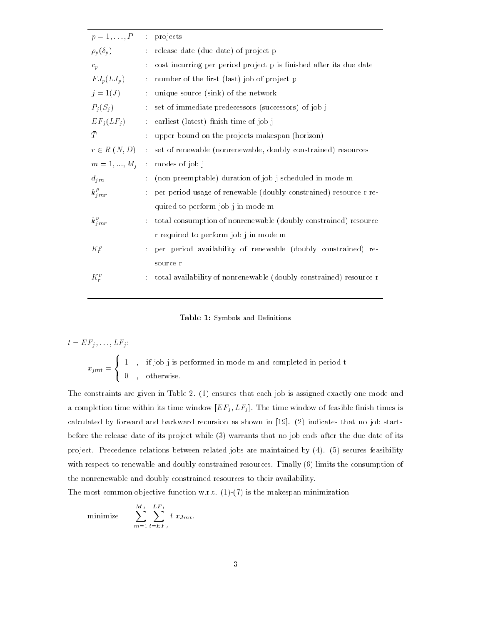| $p=1,\ldots,P$     |                             | : projects                                                         |
|--------------------|-----------------------------|--------------------------------------------------------------------|
| $\rho_p(\delta_p)$ | ÷                           | release date (due date) of project p                               |
| $c_p$              | ÷                           | cost incurring per period project p is finished after its due date |
| $FJ_p(LJ_p)$       | ÷                           | number of the first (last) job of project p                        |
| $j=1(J)$           | $\frac{1}{\sqrt{2}}$        | unique source (sink) of the network                                |
| $P_i(S_j)$         | $\mathcal{L}^{\mathcal{L}}$ | set of immediate predecessors (successors) of job j                |
| $EF_j(LF_j)$       | $\mathcal{L}_{\mathcal{A}}$ | earliest (latest) finish time of job j                             |
| $\bar{T}$          | $\ddot{\phantom{a}}$        | upper bound on the projects makespan (horizon)                     |
| $r \in R(N, D)$    | $\mathcal{L}^{\mathcal{L}}$ | set of renewable (nonrenewable, doubly constrained) resources      |
| $m = 1, , M_j$     | $\mathcal{L}_{\mathcal{C}}$ | modes of job j                                                     |
| $d_{j,m}$          | ÷                           | (non preemptable) duration of job j scheduled in mode m            |
| $k_{j\,mr}^{\rho}$ | ÷                           | per period usage of renewable (doubly constrained) resource r re-  |
|                    |                             | quired to perform job j in mode m                                  |
| $k_{j\,mr}^{\nu}$  |                             | total consumption of nonrenewable (doubly constrained) resource    |
|                    |                             | r required to perform job j in mode m                              |
| $K_r^{\rho}$       |                             | per period availability of renewable (doubly constrained) re-      |
|                    |                             | source r                                                           |
| $K_r^{\nu}$        |                             | total availability of nonrenewable (doubly constrained) resource r |
|                    |                             |                                                                    |

Table 1: Symbols and Definitions

$$
t = EF_j, \ldots, LF_j:
$$
  

$$
x_{jmt} = \begin{cases} 1, & \text{if job j is performed in mode m and completed in period t} \\ 0, & \text{otherwise.} \end{cases}
$$

The constraints are given in Table 2. (1) ensures that each job is assigned exactly one mode and a completion time within its time window  $\vert \pm \pm 1 \vert$  ,  $\pm \pm 1$  ,  $\pm \pm 1$  , window  $\pm 1$  , window  $\pm 1$ calculated by forward and backward recursion as shown in [19]. (2) indicates that no job starts before the release date of its project while (3) warrants that no job ends after the due date of its project. Precedence relations between related jobs are maintained by (4). (5) secures feasibility with respect to renewable and doubly constrained resources. Finally (6) limits the consumption of the nonrenewable and doubly constrained resources to their availability.

The most common objective function w.r.t.  $(1)-(7)$  is the makespan minimization

minimize 
$$
\sum_{m=1}^{M_J} \sum_{t=EF_J}^{LF_J} t x_{Jmt}.
$$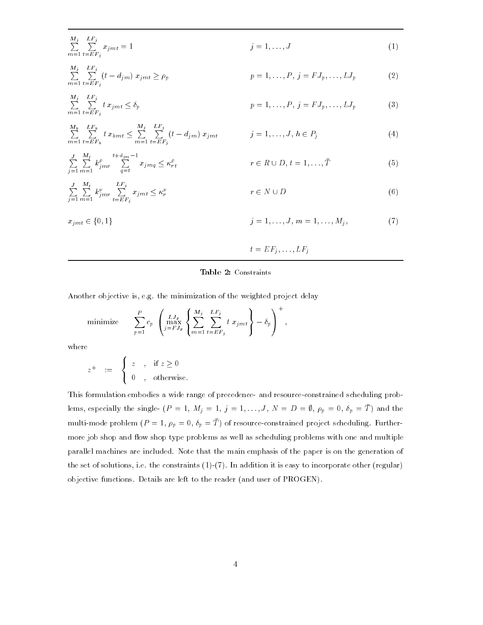$$
\sum_{m=1}^{M_j} \sum_{t=EF_j}^{LF_j} x_{jmt} = 1
$$
\n
$$
j = 1, \dots, J
$$
\n
$$
j = 1, \dots, J
$$
\n
$$
(1)
$$

$$
\sum_{m=1}^{1} \sum_{t=EF_j}^{f} (t - d_{j m}) x_{j mt} \ge \rho_p
$$
\n
$$
p = 1, \dots, P, j = FJ_p, \dots, LJ_p
$$
\n
$$
M_i \quad LF_i
$$
\n(2)

$$
\sum_{m=1}^{j} \sum_{t=EF_j}^{f} t x_{jmt} \le \delta_p
$$
\n(3)

$$
\sum_{m=1}^{M_h} \sum_{t=EF_h}^{LF_h} t x_{hmt} \leq \sum_{m=1}^{M_j} \sum_{t=EF_j}^{LF_j} (t - d_{j\,m}) x_{j\,mt} \qquad j = 1, ..., J, h \in P_j \tag{4}
$$

$$
\sum_{j=1}^{J} \sum_{m=1}^{M_j} k_{j\,mr}^{\rho} \sum_{q=t}^{t+d_{jm}-1} x_{j\,mq} \le \kappa_{rt}^{\rho} \qquad \qquad r \in R \cup D, t = 1, ..., \bar{T}
$$
\n
$$
\sum_{j=1}^{J} \sum_{m=1}^{M_j} k_{j\,mr}^{\nu} \sum_{t=EF_j}^{LF_j} x_{j\,mt} \le \kappa_r^{\nu} \qquad \qquad r \in N \cup D
$$
\n(6)

$$
j = 1 m = 1 \t t = EF_j
$$
  

$$
x_{jmt} \in \{0, 1\}
$$
  

$$
j = 1, ..., J, m = 1, ..., M_j,
$$
 (7)

t = EFj ; : : : ; LFj

#### Table 2: Constraints

Another objective is, e.g. the minimization of the weighted project delay

minimize 
$$
\sum_{p=1}^{P} c_p \left( \max_{j=FI_p}^{LJ_p} \left\{ \sum_{m=1}^{M_j} \sum_{t=EF_j}^{LF_j} t \ x_{jmt} \right\} - \delta_p \right)^+,
$$

where

j=1

 $\cdots$ 

$$
z^+ \quad := \quad \begin{cases} \begin{array}{c} z \\ 0 \end{array} \end{cases}, \quad \text{if } z \ge 0
$$

This formulation embodies a wide range of precedence- and resource-constrained scheduling problems, especially the single-  $(P = 1, M<sub>j</sub> = 1, \ldots, J, N = D = \emptyset, \rho_p = 0, \delta_p = T)$  and the  $p_{\text{m}} = p_{\text{m}} = p_{\text{m}} = 1$ ,  $p_{p} = 0$ ,  $v_{p} = 1$  of resource-constrained project scheduling. Furthermore job shop and flow shop type problems as well as scheduling problems with one and multiple parallel machines are included. Note that the main emphasis of the paper is on the generation of the set of solutions, i.e. the constraints  $(1)-(7)$ . In addition it is easy to incorporate other (regular) objective functions. Details are left to the reader (and user of PROGEN).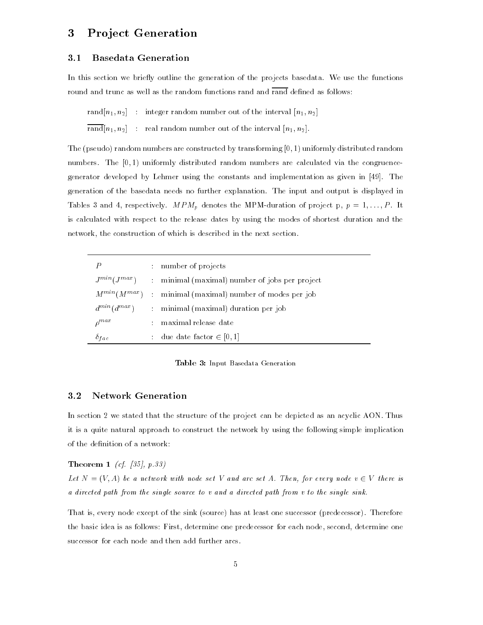## 3 Pro ject Generation

#### **Basedata Generation**  $3.1$

In this section we briefly outline the generation of the projects basedata. We use the functions round and trunc as well as the random functions rand and rand defined as follows:

rand $[n_1, n_2]$  : integer random number out of the interval  $[n_1, n_2]$ 

 $\overline{\text{rand}}[n_1, n_2]$  : real random number out of the interval  $[n_1, n_2]$ .

The (pseudo) random numbers are constructed by transforming [0; 1) uniformly distributed random numbers. The [0,1] uniformly distributed random numbers are calculated via the congruencegenerator developed by Lehmer using the constants and implementation as given in [49]. The generation of the basedata needs no further explanation. The input and output is displayed in Tables 3 and 4, respectively. MPM-duration of project p, p  $\mathbb{P}^1$  . MPM-duration of project p, p  $\mathbb{P}^1$ is calculated with respect to the release dates by using the modes of shortest duration and the network, the construction of which is described in the next section.

|                |   | : number of projects                                              |
|----------------|---|-------------------------------------------------------------------|
|                |   | $J^{min}(J^{max})$ : minimal (maximal) number of jobs per project |
|                |   | $M^{min}(M^{max})$ : minimal (maximal) number of modes per job    |
|                |   | $d^{min}(d^{max})$ : minimal (maximal) duration per job           |
| $\rho^{max}$   | ÷ | maximal release date                                              |
| $\delta_{fac}$ |   | : due date factor $\in [0,1]$                                     |

Table 3: Input Basedata Generation

#### $3.2$ Network Generation

In section 2 we stated that the structure of the project can be depicted as an acyclic AON. Thus it is a quite natural approach to construct the network by using the following simple implication of the definition of a network:

#### Theorem 1 (cf. [35], p.33)

Let  $N = (V, A)$  be a network with node set V and arc set A. Then, for every node  $v \in V$  there is a directed path from the single source to v and a directed path from v to the single sink.

That is, every node except of the sink (source) has at least one successor (predecessor). Therefore the basic idea is as follows: First, determine one predecessor for each node, second, determine one successor for each node and then add further arcs.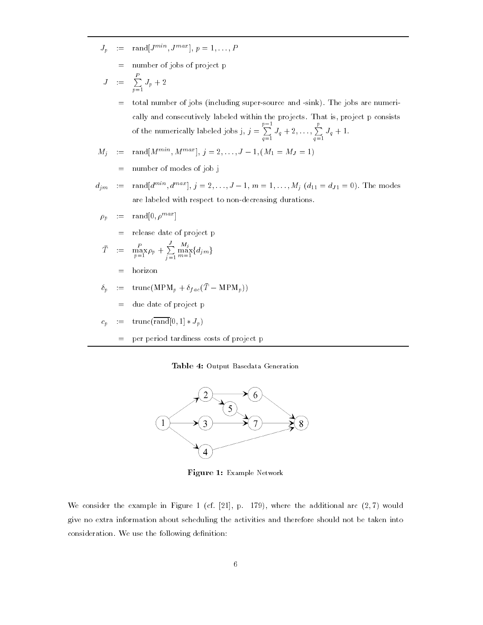- $J_p$  :  $\equiv$  rand  $J^{mnn}$ ,  $J^{mnm}$ ,  $p = 1, \ldots, P$ 
	- = number of jobs of project p
- $J \equiv \overline{\sum} J_n + 2$  $\sum_{p=1}^{P}$

= total number of jobs (including super-source and -sink). The jobs are numerically and consecutively labeled within the projects. That is, project p consists of the numerically labeled in the numerical labeled in the numerical labeled in  $\mathcal{N}$ r — 1  $\sum_{q=1}^{p} J_q + 2, \ldots, \sum_{q=1}^{p} J_q + 1.$  $q=1$   $q=1$ .

$$
M_j := \text{rand}[M^{min}, M^{max}], j = 2, \dots, J-1, (M_1 = M_J = 1)
$$

- = number of modes of job j
- $d_{im} := \text{rand}[d^{mn}, d^{max}], j = 2, \ldots, J-1, m = 1, \ldots, M_i \ (d_{11} = d_{J1} = 0).$  The modes are labeled with respect to non-decreasing durations.
	- $\rho_p$  :  $\equiv$  rand  $|0, \rho^{max}|$ 
		- = release date of project p

$$
\bar{T} := \max_{p=1}^{P} \rho_p + \sum_{j=1}^{J} \max_{m=1}^{M_j} \{d_{j,m}\}
$$

- = horizon
- $\delta_p$  :  $=$  trunc(MPM<sub>p</sub> +  $\delta_{fac}(T \text{MPM}_p)$ )
	- $=$  due date of project p

$$
c_p \quad := \quad \mathrm{trunc}(\overline{\mathrm{rand}}[0,1]*J_p)
$$

= per period tardiness costs of project p

#### Table 4: Output Basedata Generation



Figure 1: Example Network

We consider the example in Figure 1 (cf.  $[21]$ , p. 179), where the additional arc  $(2,7)$  would give no extra information about scheduling the activities and therefore should not be taken into consideration. We use the following definition: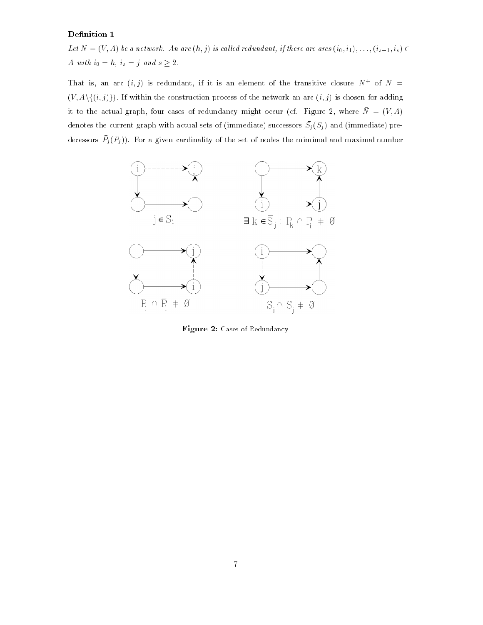#### Definition 1

Let  $N = (V, A)$  be a network. An arc  $(h, j)$  is called redundant, if there are arcs  $(i_0, i_1), \ldots, (i_{s-1}, i_s) \in$ A with  $i_0 = h$ ,  $i_s = j$  and  $s \geq 2$ .

That is, an arc  $(i, j)$  is redundant, if it is an element of the transitive closure  $N^+$  of  $N^ (V, A \setminus \{(i, j)\})$ . If within the construction process of the network an arc  $(i, j)$  is chosen for adding it to the actual graph, four cases of redundancy might occur (cf. Figure 2, where  $\overline{N} = (V, A)$ denotes the current graph with actual sets of (immediate) successors  $D_j(\bar{D}_j)$  and (immediate) predecessors  $P_j(T_j)$ . For a given cardinality of the set of nodes the mimimal and maximal number



Figure 2: Cases of Redundancy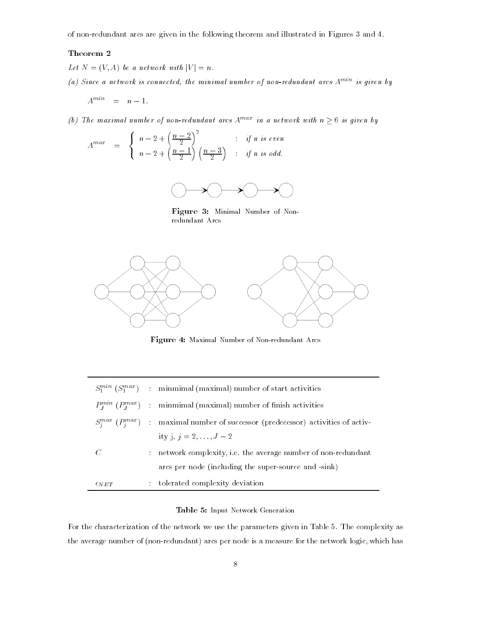of non-redundant arcs are given in the following theorem and illustrated in Figures 3 and 4.

#### Theorem 2

- Let  $N = (V, A)$  be a network with  $|V| = n$ .
- (a) Since a network is connected, the minimal number of non-redundant arcs  $A^{min}$  is given by
	- $A^{min} = n 1.$
- (b) The maximal number of non-redundant arcs  $A^{max}$  in a network with  $n \geq 6$  is given by

$$
A^{max} = \begin{cases} n-2+\left(\frac{n-2}{2}\right)^2 & \text{if } n \text{ is even} \\ n-2+\left(\frac{n-1}{2}\right)\left(\frac{n-3}{2}\right) & \text{if } n \text{ is odd.} \end{cases}
$$



Figure 3: Minimal Number of Nonredundant Arcs



Figure 4: Maximal Number of Non-redundant Arcs

|                  | $S_1^{min}$ ( $S_1^{max}$ ) : minmimal (maximal) number of start activities             |
|------------------|-----------------------------------------------------------------------------------------|
|                  | $P_I^{min}(P_I^{max})$ : minmimal (maximal) number of finish activities                 |
|                  | $S_i^{max}(P_i^{max})$ : maximal number of successor (predecessor) activities of activ- |
|                  | ity j, $j = 2, , J - 2$                                                                 |
| $\mathcal{C}$    | : network complexity, i.e. the average number of non-redundant                          |
|                  | arcs per node (including the super-source and -sink)                                    |
| $\epsilon_{NET}$ | : tolerated complexity deviation                                                        |

#### Table 5: Input Network Generation

For the characterization of the network we use the parameters given in Table 5. The complexity as the average number of (non-redundant) arcs per node is a measure for the network logic, which has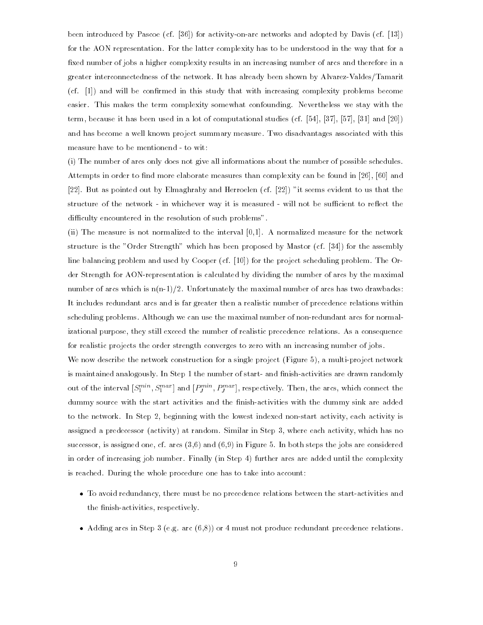been introduced by Pascoe (cf. [36]) for activity-on-arc networks and adopted by Davis (cf. [13]) for the AON representation. For the latter complexity has to be understood in the way that for a fixed number of jobs a higher complexity results in an increasing number of arcs and therefore in a greater interconnectedness of the network. It has already been shown by Alvarez-Valdes/Tamarit (cf. [1]) and will be conrmed in this study that with increasing complexity problems become easier. This makes the term complexity somewhat confounding. Nevertheless we stay with the term, because it has been used in a lot of computational studies (cf. [54], [37], [57], [31] and [20]) and has become a well known project summary measure. Two disadvantages associated with this measure have to be mentionend - to wit:

(i) The number of arcs only does not give all informations about the number of possible schedules. Attempts in order to find more elaborate measures than complexity can be found in [26], [60] and [22]. But as pointed out by Elmaghraby and Herroelen (cf. [22]) "it seems evident to us that the structure of the network - in whichever way it is measured - will not be sufficient to reflect the difficulty encountered in the resolution of such problems".

(ii) The measure is not normalized to the interval [0,1]. A normalized measure for the network structure is the "Order Strength" which has been proposed by Mastor (cf. [34]) for the assembly line balancing problem and used by Cooper (cf. [10]) for the project scheduling problem. The Order Strength for AON-representation is calculated by dividing the number of arcs by the maximal number of arcs which is  $n(n-1)/2$ . Unfortunately the maximal number of arcs has two drawbacks: It includes redundant arcs and is far greater then a realistic number of precedence relations within scheduling problems. Although we can use the maximal number of non-redundant arcs for normalizational purpose, they still exceed the number of realistic precedence relations. As a consequence for realistic projects the order strength converges to zero with an increasing number of jobs.

We now describe the network construction for a single project (Figure 5), a multi-project network is maintained analogously. In Step 1 the number of start- and finish-activities are drawn randomly out of the interval  $[S_1^{new}, S_1^{new}]$  and  $[F_j^{new}, F_j^{new}]$ , respectively. Then, the arcs, which connect the dummy source with the start activities and the finish-activities with the dummy sink are added to the network. In Step 2, beginning with the lowest indexed non-start activity, each activity is assigned a predecessor (activity) at random. Similar in Step 3, where each activity, which has no successor, is assigned one, cf. arcs  $(3,6)$  and  $(6,9)$  in Figure 5. In both steps the jobs are considered in order of increasing job number. Finally (in Step 4) further arcs are added until the complexity is reached. During the whole procedure one has to take into account:

- To avoid redundancy, there must be no precedence relations between the start-activities and the finish-activities, respectively.
- Adding arcs in Step 3 (e.g. arc (6,8)) or 4 must not produce redundant precedence relations.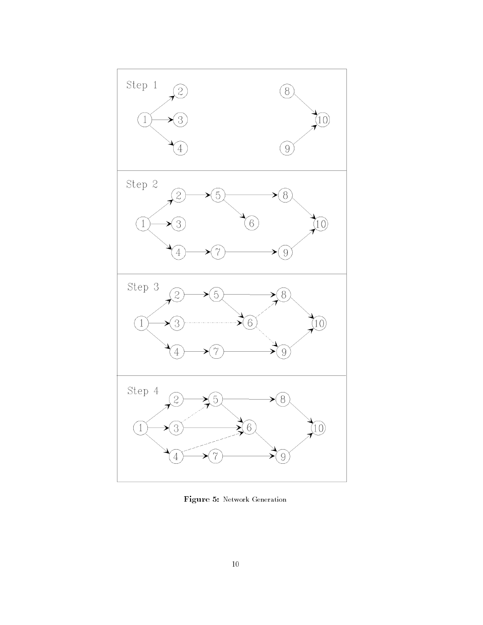

Figure 5: Network Generation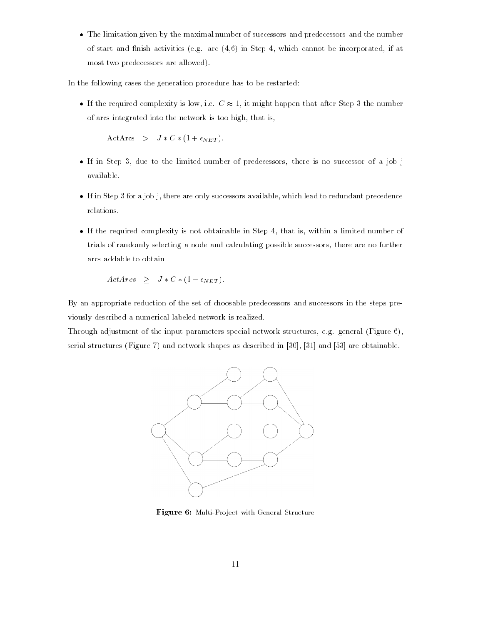The limitation given by the maximal number of successors and predecessors and the number of start and finish activities (e.g. arc  $(4,6)$  in Step 4, which cannot be incorporated, if at most two predecessors are allowed).

In the following cases the generation procedure has to be restarted:

If the required complexity is low, i.e.  $C \approx 1$ , it might happen that after Step 3 the number of arcs integrated into the network is too high, that is,

ActArcs >  $J * C * (1 + \epsilon_{NET})$ .

- If in Step 3, due to the limited number of predecessors, there is no successor of a job j available.
- If in Step 3 for a job j, there are only successors available, which lead to redundant precedence relations.
- If the required complexity is not obtainable in Step 4, that is, within a limited number of trials of randomly selecting a node and calculating possible successors, there are no further arcs addable to obtain

$$
ActArcs \geq J*C*(1-\epsilon_{NET}).
$$

By an appropriate reduction of the set of choosable predecessors and successors in the steps previously described a numerical labeled network is realized.

Through adjustment of the input parameters special network structures, e.g. general (Figure 6), serial structures (Figure 7) and network shapes as described in [30], [31] and [53] are obtainable.



Figure 6: Multi-Project with General Structure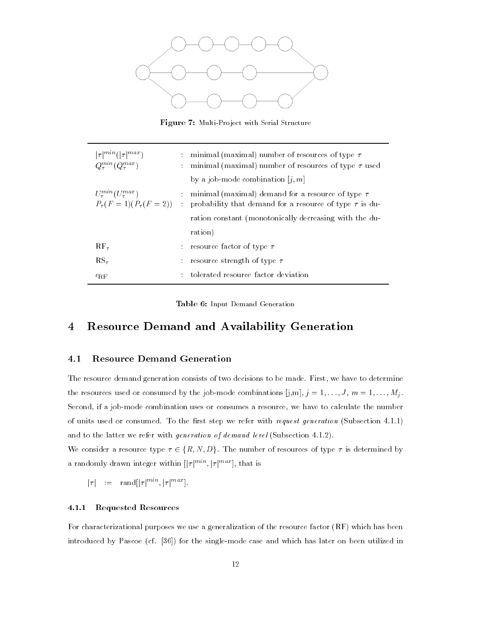

Figure 7: Multi-Project with Serial Structure

| $ \tau ^{min}( \tau ^{max})$<br>$Q_{\tau}^{min}(Q_{\tau}^{max})$     | ÷<br>÷ | minimal (maximal) number of resources of type $\tau$<br>minimal (maximal) number of resources of type $\tau$ used        |
|----------------------------------------------------------------------|--------|--------------------------------------------------------------------------------------------------------------------------|
|                                                                      |        | by a job-mode combination $[i, m]$                                                                                       |
| $U_{\tau}^{min}(U_{\tau}^{max})$<br>$P_{\tau}(F=1)(P_{\tau}(F=2))$ : |        | : minimal (maximal) demand for a resource of type $\tau$<br>probability that demand for a resource of type $\tau$ is du- |
|                                                                      |        | ration constant (monotonically decreasing with the du-                                                                   |
|                                                                      |        | ration)                                                                                                                  |
| $\rm RF_{\tau}$                                                      | ÷      | -resource factor of type $\tau$                                                                                          |
| $RS_{\tau}$                                                          |        | resource strength of type $\tau$                                                                                         |
| $\epsilon_{\textrm{RF}}$                                             | ÷      | tolerated resource factor deviation                                                                                      |

Table 6: Input Demand Generation

## 4 Resource Demand and Availability Generation

#### 4.1 Resource Demand Generation

The resource demand generation consists of two decisions to be made. First, we have to determine the resources used or consumed by the job-mode combinations [j,m], j = 1;:::;J , m = 1;:::;Mj . Second, if a job-mode combination uses or consumes a resource, we have to calculate the number of units used or consumed. To the first step we refer with *request generation* (Subsection 4.1.1) and to the latter we refer with *generation of demand level* (Subsection 4.1.2).

We consider a resource type  $\tau \in \{R, N, D\}$ . The number of resources of type  $\tau$  is determined by a randomly drawn integer within  $[|\tau|^{mn}, |\tau|^{max}]$ , that is

 $|\tau| := \text{rand}[\lvert \tau \rvert^{min}][\tau \rvert^{max}]$ .

#### 4.1.1 Requested Resources

For characterizational purposes we use a generalization of the resource factor (RF) which has been introduced by Pascoe (cf. [36]) for the single-mode case and which has later on been utilized in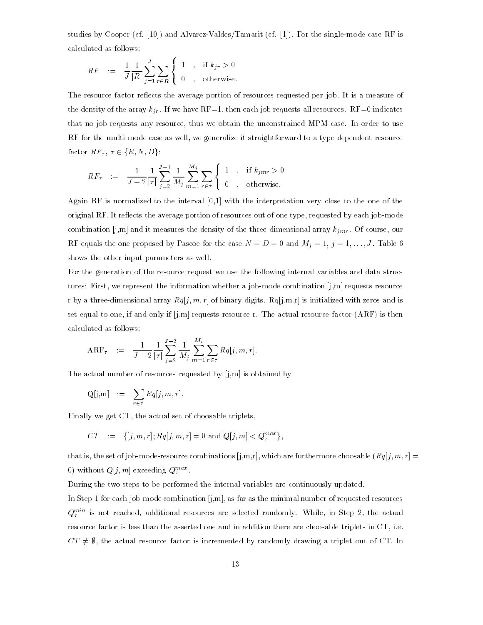studies by Cooper (cf. [10]) and Alvarez-Valdes/Tamarit (cf. [1]). For the single-mode case RF is calculated as follows:

$$
RF \quad := \quad \frac{1}{J} \frac{1}{|R|} \sum_{j=1}^{J} \sum_{r \in R} \begin{cases} 1, & \text{if } k_{jr} > 0 \\ 0, & \text{otherwise.} \end{cases}
$$

The resource factor reflects the average portion of resources requested per job. It is a measure of the density of the array kir . If we have RF=1, then each indicates all resources. RF=0 indicates all resources that no job requests any resource, thus we obtain the unconstrained MPM-case. In order to use RF for the multi-mode case as well, we generalize it straightforward to a type dependent resource factor  $RF_{\tau}$ ,  $\tau \in \{R, N, D\}$ : multi-mode case a<br>,  $\tau \in \{R, N, D\}$ :

$$
RF_{\tau} \quad := \quad \frac{1}{J-2} \frac{1}{|\tau|} \sum_{j=2}^{J-1} \frac{1}{M_j} \sum_{m=1}^{M_j} \sum_{r \in \tau} \begin{cases} 1, & \text{if } k_{jmr} > 0 \\ 0, & \text{otherwise.} \end{cases}
$$

and the state of the state of the state of the state of the state of the state of the state of the state of the

Again RF is normalized to the interval [0,1] with the interpretation very close to the one of the original RF. It reflects the average portion of resources out of one type, requested by each job-mode combination is matter in the density of the density of the density of the three dimensional array king . Of course, our density of course, our density of course, our density of course, our density of course, our density of RF equals the one proposed by Pascoe for the case N = D = 0 and Mj = 1, <sup>j</sup> = 1; : : :;J . Table 6 shows the other input parameters as well.

For the generation of the resource request we use the following internal variables and data structures: First, we represent the information whether a job-mode combination [j,m] requests resource r by a three-dimensional array  $Rq[j, m, r]$  of binary digits.  $Rq[j, m, r]$  is initialized with zeros and is set equal to one, if and only if  $[i,m]$  requests resource r. The actual resource factor  $(ARF)$  is then calculated as follows:

$$
ARF_{\tau} = \frac{1}{J-2} \frac{1}{|\tau|} \sum_{j=2}^{J-2} \frac{1}{M_j} \sum_{m=1}^{M_j} \sum_{r \in \tau} Rq[j, m, r].
$$

The actual number of resources requested by [j,m] is obtained by

$$
Q[j,m] \quad := \quad \sum_{r \in \tau} Rq[j,m,r].
$$

Finally we get CT, the actual set of choosable triplets,

$$
CT \ := \ \{[j,m,r]; Rq[j,m,r] = 0 \text{ and } Q[j,m] < Q^{max}_{\tau} \},
$$

that is, the set of job-mode-resource combinations  $[j,m,r]$ , which are furthermore choosable  $(Rq[j,m,r] =$ 0) without  $Q[j, m]$  exceeding  $Q_{\tau}^{max}$ .

During the two steps to be performed the internal variables are continuously updated.

In Step 1 for each job-mode combination  $[i,m]$ , as far as the minimal number of requested resources  $Q_\tau^{max}$  is not reached, additional resources are selected randomly. While, in Step 2, the actual resource factor is less than the asserted one and in addition there are choosable triplets in CT, i.e.  $CT \neq \emptyset$ , the actual resource factor is incremented by randomly drawing a triplet out of CT. In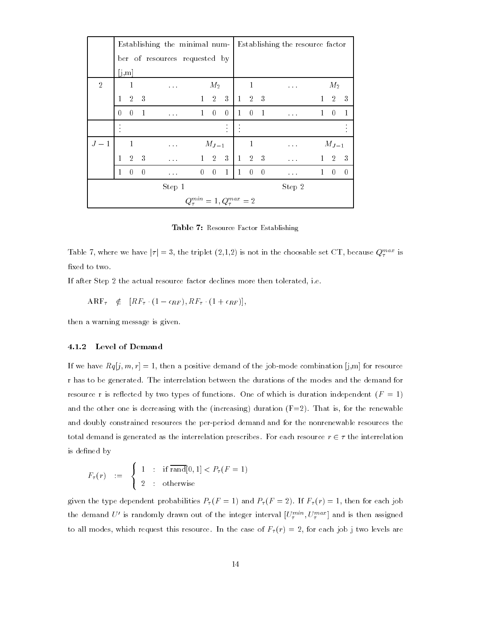|                | Establishing the minimal num-   Establishing the resource factor |                |              |                               |              |                |                                          |              |                |                          |                                                             |              |                |             |
|----------------|------------------------------------------------------------------|----------------|--------------|-------------------------------|--------------|----------------|------------------------------------------|--------------|----------------|--------------------------|-------------------------------------------------------------|--------------|----------------|-------------|
|                |                                                                  |                |              | ber of resources requested by |              |                |                                          |              |                |                          |                                                             |              |                |             |
|                |                                                                  | [j,m]          |              |                               |              |                |                                          |              |                |                          |                                                             |              |                |             |
| $\overline{2}$ |                                                                  | 1              |              | $\sim 100$ km $^{-1}$         |              | $M_2$          |                                          |              | $\mathbf{1}$   |                          | $\mathcal{L}^{\mathcal{L}}$ and $\mathcal{L}^{\mathcal{L}}$ |              | $M_2$          |             |
|                | $\mathbf{1}$                                                     | $\overline{2}$ | -3           |                               | $1 -$        | $\overline{2}$ | 3                                        | $\mathbf{1}$ | $2 \quad 3$    |                          |                                                             |              | $\overline{2}$ | -3          |
|                | 0                                                                | $\overline{0}$ | $\mathbf{1}$ |                               | $\mathbf{1}$ | $\Omega$       | $\boldsymbol{0}$                         | $\mathbf{1}$ | $\overline{0}$ | $\overline{1}$           |                                                             | $\mathbf{1}$ | $\theta$       | -1          |
|                |                                                                  |                |              |                               |              |                |                                          |              |                |                          |                                                             |              |                |             |
| $J-1$          |                                                                  | $\mathbf{1}$   |              | $\sim 100$                    |              | $M_{J-1}$      |                                          |              | $\mathbf{1}$   |                          |                                                             |              | $M_{J-1}$      |             |
|                | $\mathbf{1}$                                                     | $\overline{2}$ | 3            |                               |              | $1 \quad 2$    | 3                                        | $\mathbf{1}$ | 2 3            |                          |                                                             |              |                | $2 \quad 3$ |
|                | 1                                                                | $\theta$       | $\theta$     |                               | $\theta$     | $\Omega$       | $\mathbf{1}$                             | $\mathbf{1}$ | $\theta$       | $\overline{\phantom{0}}$ | $\cdots$                                                    | 1            | $\theta$       | $\theta$    |
|                | Step 1                                                           |                |              |                               |              |                |                                          |              |                |                          | Step 2                                                      |              |                |             |
|                |                                                                  |                |              |                               |              |                | $Q_{\tau}^{min} = 1, Q_{\tau}^{max} = 2$ |              |                |                          |                                                             |              |                |             |

Table 7: Resource Factor Establishing

Table 7, where we have  $|\tau| = 3$ , the triplet  $(2,1,2)$  is not in the choosable set CT, because  $Q_{\tau}^{max}$  is fixed to two.

If after Step 2 the actual resource factor declines more then tolerated, i.e.

 $ARF_{\tau} \notin [RF_{\tau} \cdot (1 - \epsilon_{RF}), RF_{\tau} \cdot (1 + \epsilon_{RF})],$ 

then a warning message is given.

#### 4.1.2 Level of Demand

If we have  $Rq[j, m, r] = 1$ , then a positive demand of the job-mode combination [j,m] for resource r has to be generated. The interrelation between the durations of the modes and the demand for resource r is reflected by two types of functions. One of which is duration independent  $(F = 1)$ and the other one is decreasing with the (increasing) duration  $(F=2)$ . That is, for the renewable and doubly constrained resources the per-period demand and for the nonrenewable resources the total demand is generated as the interrelation prescribes. For each resource  $r \in \tau$  the interrelation is defined by

$$
F_{\tau}(r) \quad := \quad \left\{ \begin{array}{rcl} 1 & : & \text{if } \overline{\text{rand}}[0,1] < P_{\tau}(F=1) \\ 2 & : & \text{otherwise} \end{array} \right.
$$

 $\Omega$  is the type dependent probabilities  $P$  (r) and  $P$  (r)  $P$  (r)  $P$  (r)  $P$  (r)  $P$  (r)  $P$  (r)  $P$  (r)  $P$  (r)  $P$  (r)  $P$  (r)  $P$  (r)  $P$  (r)  $P$  (r)  $P$  (r)  $P$  (r)  $P$  (r)  $P$  (r)  $P$  (r)  $P$  (r)  $P$  (r)  $P$  (r) the demand  $U$  is randomly drawn out of the integer interval  $[U_{\tau}^{(\max)},U_{\tau}^{(\max)}]$  and is then assigned to all modes, which request this resource. In the case of F (r) = 2, for each job j two levels are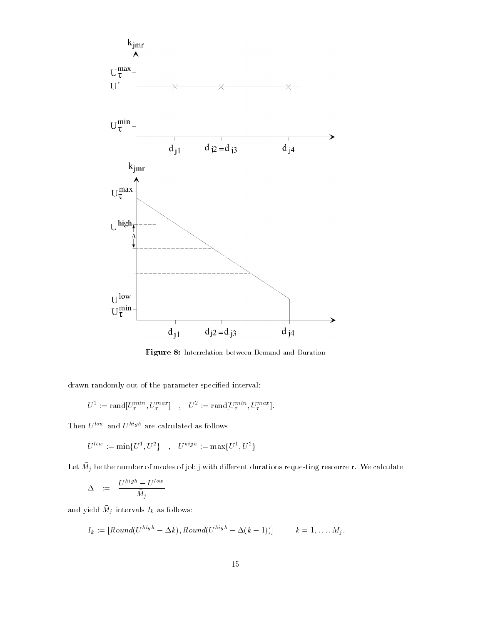

Figure 8: Interrelation between Demand and Duration

drawn randomly out of the parameter specified interval:

$$
U^1 := \text{rand}[U^{min}_\tau, U^{max}_\tau] \quad , \quad U^2 := \text{rand}[U^{min}_\tau, U^{max}_\tau].
$$

Then  $U^{low}$  and  $U^{high}$  are calculated as follows

$$
U^{low}\,:=\,\min\{U^{\,1},U^{\,2}\}\quad\, ,\quad U^{high}\,:=\,\max\{U^{\,1},U^{\,2}\}
$$

Let  $m_j$  be the number of modes of job j with different durations requesting resource r. We calculate

$$
\Delta \quad := \quad \frac{U^{high} - U^{low}}{\bar{M}_j}
$$

and yield  $M_i$  intervals  $I_k$  as follows.

$$
I_k := [Round(U^{high} - \Delta k), Round(U^{high} - \Delta(k-1))] \qquad k = 1, ..., \bar{M}_j.
$$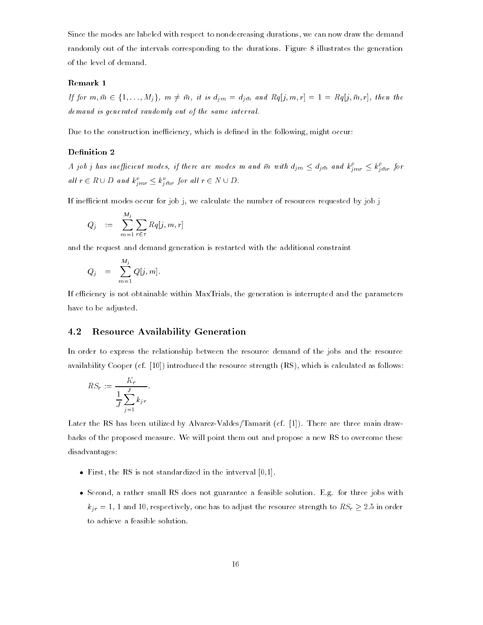Since the modes are labeled with respect to nondecreasing durations, we can now draw the demand randomly out of the intervals corresponding to the durations. Figure 8 illustrates the generation of the level of demand.

#### Remark 1

**Remark 1**<br>If for  $m, \bar{m} \in \{1, ..., M_i\}$ ,  $m \neq \bar{m}$ , it is  $d_{im} = d_{im}$  and  $Rq[j, m, r] = 1 = Rq[j, \bar{m}, r]$ , then the demand is generated randomly out of the same interval.

Due to the construction inefficiency, which is defined in the following, might occur:

#### Definition 2

A job j has inefficient modes, if there are modes m and  $\bar{m}$  with  $d_{jm} \leq d_{j\bar{m}}$  and  $k_{imr}^{\rho} \leq k_{j\bar{m}r}^{\rho}$  for all  $r \in R \cup D$  and  $k_{jmr}^{\nu} \leq k_{j\bar{m}r}^{\nu}$  for all  $r \in N \cup D$ .

If inefficient modes occur for job j, we calculate the number of resources requested by job j

$$
Q_j \quad := \quad \sum_{m=1}^{M_j} \sum_{r \in \tau} Rq[j,m,r]
$$

and the request and demand generation is restarted with the additional constraint

$$
Q_j = \sum_{m=1}^{M_j} Q[j,m].
$$

If efficiency is not obtainable within MaxTrials, the generation is interrupted and the parameters have to be adjusted.

#### 4.2 Resource Availability Generation

In order to express the relationship between the resource demand of the jobs and the resource availability Cooper (cf. [10]) introduced the resource strength (RS), which is calculated as follows:

$$
RS_r := \frac{K_r}{\frac{1}{J} \sum_{j=1}^{J} k_{jr}}.
$$

Later the RS has been utilized by Alvarez-Valdes/Tamarit (cf. [1]). There are three main drawbacks of the proposed measure. We will point them out and propose a new RS to overcome these disadvantages:

- First, the RS is not standardized in the intverval [0,1].
- Second, a rather small RS does not guarantee a feasible solution. E.g. for three jobs with  $k_{ir} = 1$ , 1 and 10, respectively, one has to adjust the resource strength to  $RS_r \geq 2.5$  in order to achieve a feasible solution.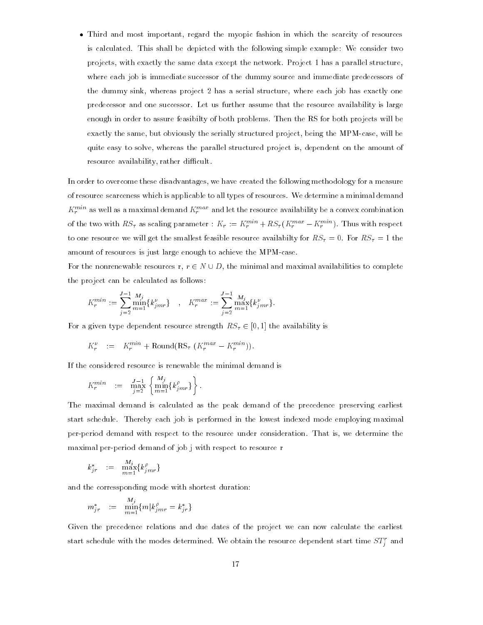Third and most important, regard the myopic fashion in which the scarcity of resources is calculated. This shall be depicted with the following simple example: We consider two projects, with exactly the same data except the network. Project 1 has a parallel structure, where each job is immediate successor of the dummy source and immediate predecessors of the dummy sink, whereas project 2 has a serial structure, where each job has exactly one predecessor and one successor. Let us further assume that the resource availability is large enough in order to assure feasibilty of both problems. Then the RS for both projects will be exactly the same, but obviously the serially structured project, being the MPM-case, will be quite easy to solve, whereas the parallel structured project is, dependent on the amount of resource availability, rather difficult.

In order to overcome these disadvantages, we have created the following methodology for a measure of resource scarceness which is applicable to all types of resources. We determine a minimal demand  $K_r^{max}$  as well as a maximal demand  $K_r^{max}$  and let the resource availability be a convex combination rrof the two with  $RS_{\tau}$  as scaling parameter :  $K_r := K_r^{min} + RS_{\tau}(K_r^{max} - K_r^{min})$ . Thus with respect to one resource we will get the smallest feasible resource availabilty for RS = 0. For RS = 1 the amount of resources is just large enough to achieve the MPM-case.

For the nonrenewable resources r,  $r \in N \cup D$ , the minimal and maximal availabilities to complete the project can be calculated as follows:

$$
K_r^{min} := \sum_{j=2}^{J-1} \frac{M_j}{m=1} \{k_{jmr}^{\nu}\} \quad , \quad K_r^{max} := \sum_{j=2}^{J-1} \frac{M_j}{m=1} \{k_{jmr}^{\nu}\}.
$$

For a given type dependent resource strength  $RS_{\tau} \in [0, 1]$  the availability is

$$
K_r^{\nu} := K_r^{min} + \text{Round}(RS_\tau (K_r^{max} - K_r^{min})).
$$

If the considered resource is renewable the minimal demand is

$$
K_r^{min} := \max_{j=2}^{J-1} \left\{ \min_{m=1}^{M_j} \{ k_{jmr}^{\rho} \} \right\}.
$$

The maximal demand is calculated as the peak demand of the precedence preserving earliest start schedule. Thereby each job is performed in the lowest indexed mode employing maximal per-period demand with respect to the resource under consideration. That is, we determine the maximal per-period demand of job j with respect to resource r

$$
k_{j\,r}^*\quad :=\quad \max_{m=1}^{M_j}\{k_{j\,mr}^{\rho}\}
$$

and the corressponding mode with shortest duration:

$$
m^*_{j\,r}\quad :=\quad \min_{m=1}^{M_j}\{m|k^{\rho}_{j\,mr}=k^*_{j\,r}\}
$$

Given the precedence relations and due dates of the project we can now calculate the earliest start schedule with the modes determined. We obtain the resource dependent start time  $SI_{\it i}^{\it i}$  and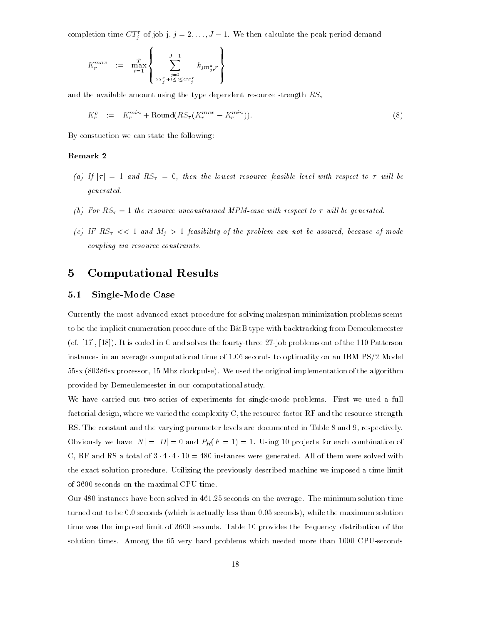completion time  $CT_i^r$  of job j,  $j = 2, \ldots, J-1$ . We then calculate the peak period demand

$$
K_r^{max} := \max_{t=1}^{\bar{T}} \left\{ \sum_{\substack{j=2 \\ s \cdot T_j^{\tau} + 1 \le t \le c \cdot T_j^{\tau}}}^{J-1} k_{j m_{j r}^{\star} r} \right\}
$$

and the available amount using the type dependent resource strength  $RS_{\tau}$ 

en 1980 en 1980 en 1980 en 1980 en 1980 en 1980 en 1980 en 1980 en 1980 en 1980 en 1980 en 1980 en 1980 en 19

$$
K_r^{\rho} \quad := \quad K_r^{min} + \text{Round}(RS_\tau(K_r^{max} - K_r^{min})). \tag{8}
$$

By constuction we can state the following:

#### Remark 2

- (a) If  $|\tau| = 1$  and  $RS_{\tau} = 0$ , then the lowest resource feasible level with respect to  $\tau$  will be generated.
- (b) For RS = 1 the resource unconstrained MPM-case with respect to wil l be generated.
- (c) IF RS << <sup>1</sup> and Mj <sup>&</sup>gt; <sup>1</sup> feasibility of the problem can not be assured, because of mode coupling via resource constraints.

## 5 Computational Results

#### 5.1 Single-Mode Case

Currently the most advanced exact procedure for solving makespan minimization problems seems to be the implicit enumeration procedure of the B&B type with backtracking from Demeulemeester (cf. [17], [18]). It is coded in C and solves the fourty-three 27-job problems out of the 110 Patterson instances in an average computational time of 1.06 seconds to optimality on an IBM PS/2 Model 55sx (80386sx processor, 15 Mhz clockpulse). We used the original implementation of the algorithm provided by Demeulemeester in our computational study.

We have carried out two series of experiments for single-mode problems. First we used a full factorial design, where we varied the complexity C, the resource factor RF and the resource strength RS. The constant and the varying parameter levels are documented in Table 8 and 9, respectively. Obviously we have  $|N| = |D| = 0$  and  $P_R(F = 1) = 1$ . Using 10 projects for each combination of C, RF and RS a total of  $3 \cdot 4 \cdot 4 \cdot 10 = 480$  instances were generated. All of them were solved with the exact solution procedure. Utilizing the previously described machine we imposed a time limit of 3600 seconds on the maximal CPU time.

Our 480 instances have been solved in 461.25 seconds on the average. The minimum solution time turned out to be 0.0 seconds (which is actually less than 0.05 seconds), while the maximum solution time was the imposed limit of 3600 seconds. Table 10 provides the frequency distribution of the solution times. Among the 65 very hard problems which needed more than 1000 CPU-seconds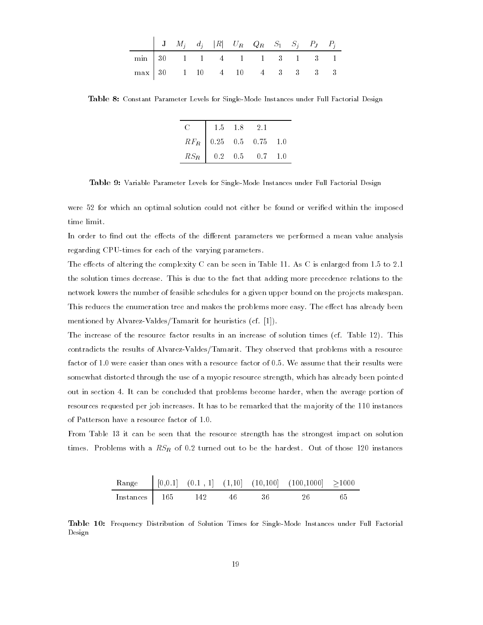|                               |  |  | $\begin{vmatrix} \mathbf{J} & M_j & d_j &  R  & U_R & Q_R & S_1 & S_j & P_J & P_j \end{vmatrix}$ |  |  |  |
|-------------------------------|--|--|--------------------------------------------------------------------------------------------------|--|--|--|
| $\min$ 30 1 1 4 1 1 3 1 3 1   |  |  |                                                                                                  |  |  |  |
| $\max$ 30 1 10 4 10 4 3 3 3 3 |  |  |                                                                                                  |  |  |  |

Table 8: Constant Parameter Levels for Single-Mode Instances under Full Factorial Design

|                    | $1.5$ $1.8$ $2.1$ |                          |         |
|--------------------|-------------------|--------------------------|---------|
|                    |                   | $RF_R$ 0.25 0.5 0.75 1.0 |         |
| $RS_R$ 0.2 0.5 0.7 |                   |                          | $\pm 0$ |

Table 9: Variable Parameter Levels for Single-Mode Instances under Full Factorial Design

were 52 for which an optimal solution could not either be found or veried within the imposed time limit.

In order to find out the effects of the different parameters we performed a mean value analysis regarding CPU-times for each of the varying parameters.

The effects of altering the complexity C can be seen in Table 11. As C is enlarged from  $1.5$  to  $2.1$ the solution times decrease. This is due to the fact that adding more precedence relations to the network lowers the number of feasible schedules for a given upper bound on the projects makespan. This reduces the enumeration tree and makes the problems more easy. The effect has already been mentioned by Alvarez-Valdes/Tamarit for heuristics (cf. [1]).

The increase of the resource factor results in an increase of solution times (cf. Table 12). This contradicts the results of Alvarez-Valdes/Tamarit. They observed that problems with a resource factor of 1.0 were easier than ones with a resource factor of 0.5. We assume that their results were somewhat distorted through the use of a myopic resource strength, which has already been pointed out in section 4. It can be concluded that problems become harder, when the average portion of resources requested per job increases. It has to be remarked that the majority of the 110 instances of Patterson have a resource factor of 1.0.

From Table 13 it can be seen that the resource strength has the strongest impact on solution times. Problems with a RSR of 0.2 turned out to be the hardest. Out of those 120 instances

|                     |  |       |        | Range $(0.0.1]$ $(0.1, 1]$ $(1.10]$ $(10.100]$ $(100.1000]$ $\geq 1000$ |     |
|---------------------|--|-------|--------|-------------------------------------------------------------------------|-----|
| $Instances$ 165 142 |  | -46 - | - 36 - | 26                                                                      | -65 |

Table 10: Frequency Distribution of Solution Times for Single-Mode Instances under Full Factorial Design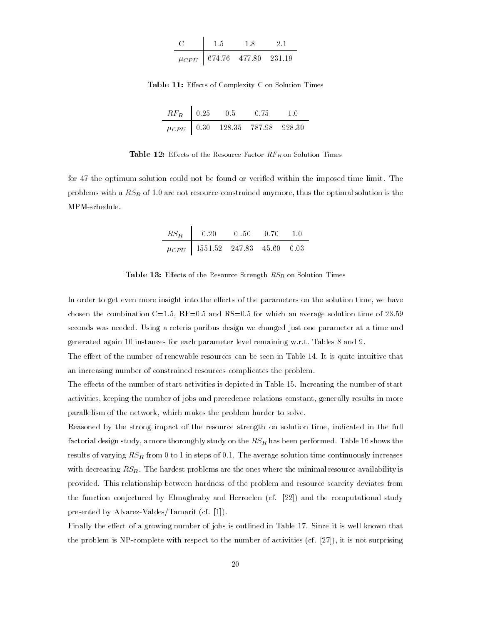| - 5                                | 1 X | ו י |
|------------------------------------|-----|-----|
| $\mu_{CPU}$   674.76 477.80 231.19 |     |     |

Table 11: Effects of Complexity C on Solution Times

| $RF_R$ 0.25 | 0.5 | U 75                                  | 1 O |
|-------------|-----|---------------------------------------|-----|
|             |     | $\mu_{CPU}$ 0.30 128.35 787.98 928.30 |     |

Table 12: Effects of the Resource Factor  $RF_R$  on Solution Times

for 47 the optimum solution could not be found or veried within the imposed time limit. The problems with a RSR of 1.0 are not resource-constrained anymore, thus the optimal solution is the MPM-schedule.

| $RS_R$   0.20                           | 0.50 | - 0.70 | -10 |
|-----------------------------------------|------|--------|-----|
| $\mu_{CPU}$   1551.52 247.83 45.60 0.03 |      |        |     |

Table 13: Effects of the Resource Strength  $RS_R$  on Solution Times

In order to get even more insight into the effects of the parameters on the solution time, we have chosen the combination C=1.5,  $RF=0.5$  and  $RS=0.5$  for which an average solution time of 23.59 seconds was needed. Using a ceteris paribus design we changed just one parameter at a time and generated again 10 instances for each parameter level remaining w.r.t. Tables 8 and 9.

The effect of the number of renewable resources can be seen in Table 14. It is quite intuitive that an increasing number of constrained resources complicates the problem.

The effects of the number of start activities is depicted in Table 15. Increasing the number of start activities, keeping the number of jobs and precedence relations constant, generally results in more parallelism of the network, which makes the problem harder to solve.

Reasoned by the strong impact of the resource strength on solution time, indicated in the full factorial design study, a more thoroughly study on the RSR has been performed. Table 16 shows the results of varying RSR from 0 to 1 in steps of 0.1. The average solution time continuously increases with decreasing  $RS_R$ . The hardest problems are the ones where the minimal resource availability is provided. This relationship between hardness of the problem and resource scarcity deviates from the function conjectured by Elmaghraby and Herroelen (cf. [22]) and the computational study presented by Alvarez-Valdes/Tamarit (cf. [1]).

Finally the effect of a growing number of jobs is outlined in Table 17. Since it is well known that the problem is NP-complete with respect to the number of activities (cf.  $[27]$ ), it is not surprising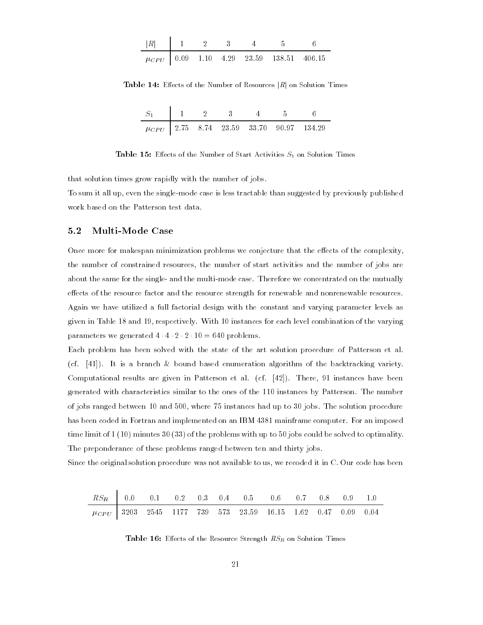|  |  | $\mu_{CPU}$   0.09 1.10 4.29 23.59 138.51 406.15 |  |
|--|--|--------------------------------------------------|--|

**Table 14:** Effects of the Number of Resources  $|R|$  on Solution Times

| $S_1$   1   2   3   4   5   6 |  |  |                                                |
|-------------------------------|--|--|------------------------------------------------|
|                               |  |  | $\mu_{CPU}$ 2.75 8.74 23.59 33.70 90.97 134.29 |

Table 15: Effects of the Number of Start Activities  $S_1$  on Solution Times

that solution times grow rapidly with the number of jobs.

To sum it all up, even the single-mode case is less tractable than suggested by previously published work based on the Patterson test data.

#### 5.2 Multi-Mode Case

Once more for makespan minimization problems we conjecture that the effects of the complexity, the number of constrained resources, the number of start activities and the number of jobs are about the same for the single- and the multi-mode case. Therefore we concentrated on the mutually effects of the resource factor and the resource strength for renewable and nonrenewable resources. Again we have utilized a full factorial design with the constant and varying parameter levels as given in Table 18 and 19, respectively. With 10 instances for each level combination of the varying parameters we generated  $4 \cdot 4 \cdot 2 \cdot 2 \cdot 10 = 640$  problems.

Each problem has been solved with the state of the art solution procedure of Patterson et al. (cf. [41]). It is a branch & bound based enumeration algorithm of the backtracking variety. Computational results are given in Patterson et al. (cf. [42]). There, 91 instances have been generated with characteristics similar to the ones of the 110 instances by Patterson. The number of jobs ranged between 10 and 500, where 75 instances had up to 30 jobs. The solution procedure has been coded in Fortran and implemented on an IBM 4381 mainframe computer. For an imposed time limit of 1 (10) minutes 30 (33) of the problems with up to 50 jobs could be solved to optimality. The preponderance of these problems ranged between ten and thirty jobs.

Since the original solution procedure was not available to us, we recoded it in C. Our code has been

| $RS_R$ 0.0 0.1 0.2 0.3 0.4 0.5 0.6 0.7 0.8 0.9 1.0 |  |  |  |  |  |  |
|----------------------------------------------------|--|--|--|--|--|--|
|                                                    |  |  |  |  |  |  |

Table 16: Effects of the Resource Strength  $RS_R$  on Solution Times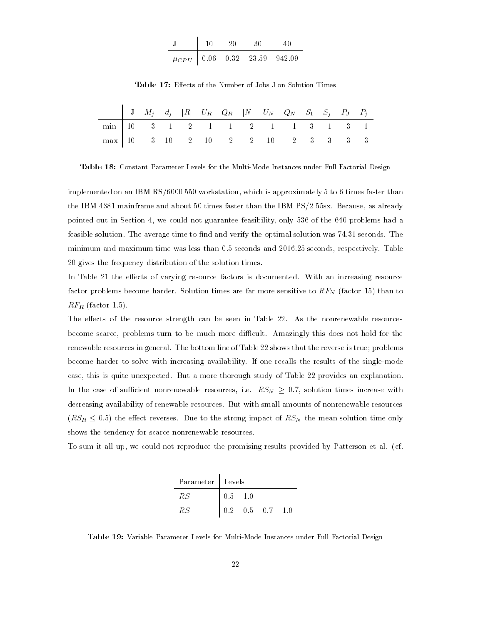|  | ו ו י |                                      |  |  |
|--|-------|--------------------------------------|--|--|
|  |       | $\mu_{CPU}$   0.06 0.32 23.59 942.09 |  |  |

Table 17: Effects of the Number of Jobs J on Solution Times

|                                                                                                                                 |  |  |  |  | $\begin{array}{ ccccccccccccccc } \hline &\textbf{J} & M_j & d_j &  R  & U_R & Q_R &  N  & U_N & Q_N & S_1 & S_j & P_J & P_j \hline \end{array}$ |  |  |  |
|---------------------------------------------------------------------------------------------------------------------------------|--|--|--|--|--------------------------------------------------------------------------------------------------------------------------------------------------|--|--|--|
| $\begin{array}{ c ccccccccccccccc }\hline \text{min} & 10 & 3 & 1 & 2 & 1 & 1 & 2 & 1 & 1 & 3 & 1 & 3 & 1 \ \hline \end{array}$ |  |  |  |  |                                                                                                                                                  |  |  |  |
| $\begin{array}{ c ccccccccccc }\n\hline\nmax & 10 & 3 & 10 & 2 & 10 & 2 & 2 & 10 & 2 & 3 & 3 & 3 & 3\n\end{array}$              |  |  |  |  |                                                                                                                                                  |  |  |  |

Table 18: Constant Parameter Levels for the Multi-Mode Instances under Full Factorial Design

implemented on an IBM RS/6000 550 workstation, which is approximately 5 to 6 times faster than the IBM 4381 mainframe and about 50 times faster than the IBM PS/2 55sx. Because, as already pointed out in Section 4, we could not guarantee feasibility, only 536 of the 640 problems had a feasible solution. The average time to find and verify the optimal solution was 74.31 seconds. The minimum and maximum time was less than 0.5 seconds and 2016.25 seconds, respectively. Table 20 gives the frequency distribution of the solution times.

In Table 21 the effects of varying resource factors is documented. With an increasing resource factor problems become harder. Solution times are far more sensitive to RFN (factor 15) than to  $\mathbb{R}$  be the factor in the set of  $\mathbb{R}$ .

The effects of the resource strength can be seen in Table 22. As the nonrenewable resources become scarce, problems turn to be much more difficult. Amazingly this does not hold for the renewable resources in general. The bottom line of Table 22 shows that the reverse is true; problems become harder to solve with increasing availability. If one recalls the results of the single-mode case, this is quite unexpected. But a more thorough study of Table 22 provides an explanation. In the case of sufficient nonrenewable resources, i.e.  $RS_N \geq 0.7$ , solution times increase with decreasing availability of renewable resources. But with small amounts of nonrenewable resources  $(RS_R < 0.5)$  the effect reverses. Due to the strong impact of  $RS_N$  the mean solution time only shows the tendency for scarce nonrenewable resources.

To sum it all up, we could not reproduce the promising results provided by Patterson et al. (cf.

| Parameter   Levels |             |                         |  |
|--------------------|-------------|-------------------------|--|
| R.S                | $0.5 - 1.0$ |                         |  |
| RS                 |             | $0.2$ $0.5$ $0.7$ $1.0$ |  |

Table 19: Variable Parameter Levels for Multi-Mode Instances under Full Factorial Design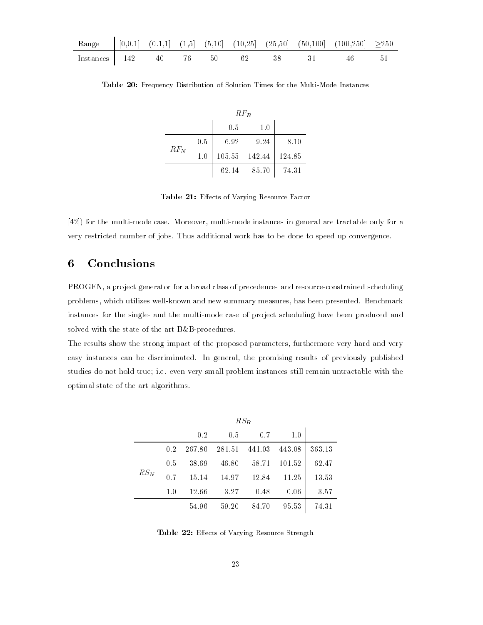|                                |  |  |  | Range $(0.0.1)$ $(0.1,1)$ $(1.5)$ $(5,10)$ $(10,25)$ $(25,50)$ $(50,100)$ $(100,250)$ $\geq 250$ |  |
|--------------------------------|--|--|--|--------------------------------------------------------------------------------------------------|--|
| Instances $142$ 40 76 50 62 38 |  |  |  | 31 46 51                                                                                         |  |

Table 20: Frequency Distribution of Solution Times for the Multi-Mode Instances

|        | $RF_{R}$ |               |       |        |  |  |  |  |  |  |  |
|--------|----------|---------------|-------|--------|--|--|--|--|--|--|--|
|        |          | 0.5           | 1.0   |        |  |  |  |  |  |  |  |
|        | 0.5      | 6.92          | 9.24  | 8.10   |  |  |  |  |  |  |  |
| $RF_N$ | 1.0      | 105.55 142.44 |       | 124.85 |  |  |  |  |  |  |  |
|        |          | 62.14         | 85.70 | 74.31  |  |  |  |  |  |  |  |

Table 21: Effects of Varying Resource Factor

[42]) for the multi-mode case. Moreover, multi-mode instances in general are tractable only for a very restricted number of jobs. Thus additional work has to be done to speed up convergence.

## 6 Conclusions

PROGEN, a project generator for a broad class of precedence- and resource-constrained scheduling problems, which utilizes well-known and new summary measures, has been presented. Benchmark instances for the single- and the multi-mode case of project scheduling have been produced and solved with the state of the art B&B-procedures.

The results show the strong impact of the proposed parameters, furthermore very hard and very easy instances can be discriminated. In general, the promising results of previously published studies do not hold true; i.e. even very small problem instances still remain untractable with the optimal state of the art algorithms.

|        | $RS_R$ |        |        |        |        |        |  |  |  |  |  |  |
|--------|--------|--------|--------|--------|--------|--------|--|--|--|--|--|--|
|        |        | 0.2    | 0.5    | 0.7    | 1.0    |        |  |  |  |  |  |  |
|        | 0.2    | 267.86 | 281.51 | 441.03 | 443.08 | 363.13 |  |  |  |  |  |  |
|        | 0.5    | 38.69  | 46.80  | 58.71  | 101.52 | 62.47  |  |  |  |  |  |  |
| $RS_N$ | 0.7    | 15.14  | 14.97  | 12.84  | 11.25  | 13.53  |  |  |  |  |  |  |
|        | 1.0    | 12.66  | 3.27   | 0.48   | 0.06   | 3.57   |  |  |  |  |  |  |
|        |        | 54.96  | 59.20  | 84.70  | 95.53  | 74.31  |  |  |  |  |  |  |

Table 22: Effects of Varying Resource Strength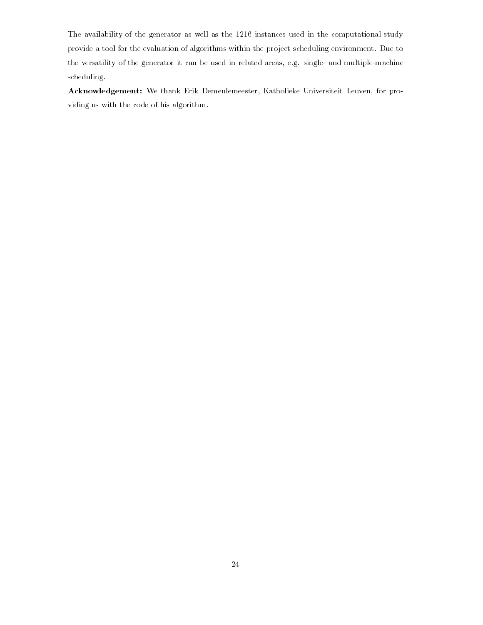The availability of the generator as well as the 1216 instances used in the computational study provide a tool for the evaluation of algorithms within the project scheduling environment. Due to the versatility of the generator it can be used in related areas, e.g. single- and multiple-machine scheduling.

Acknowledgement: We thank Erik Demeulemeester, Katholieke Universiteit Leuven, for providing us with the code of his algorithm.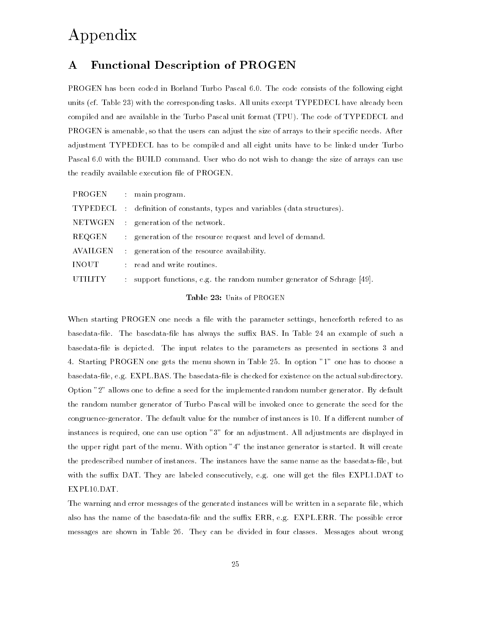## Appendix

## A Functional Description of PROGEN

PROGEN has been coded in Borland Turbo Pascal 6.0. The code consists of the following eight units (cf. Table 23) with the corresponding tasks. All units except TYPEDECL have already been compiled and are available in the Turbo Pascal unit format (TPU). The code of TYPEDECL and PROGEN is amenable, so that the users can adjust the size of arrays to their specific needs. After adjustment TYPEDECL has to be compiled and all eight units have to be linked under Turbo Pascal 6.0 with the BUILD command. User who do not wish to change the size of arrays can use the readily available execution file of PROGEN.

|                |   | PROGEN : main program.                                                  |
|----------------|---|-------------------------------------------------------------------------|
| TYPEDECL       |   | definition of constants, types and variables (data structures).         |
|                |   | NETWGEN : generation of the network.                                    |
| REQGEN         |   | : generation of the resource request and level of demand.               |
| AVAILGEN       |   | : generation of the resource availability.                              |
| <b>INOUT</b>   |   | : read and write routines.                                              |
| <b>UTILITY</b> | ÷ | support functions, e.g. the random number generator of Schrage $[49]$ . |
|                |   |                                                                         |

Table 23: Units of PROGEN

When starting PROGEN one needs a file with the parameter settings, henceforth refered to as basedata-file. The basedata-file has always the suffix BAS. In Table 24 an example of such a basedata-le is depicted. The input relates to the parameters as presented in sections 3 and 4. Starting PROGEN one gets the menu shown in Table 25. In option "1" one has to choose a basedata-file, e.g. EXPL.BAS. The basedata-file is checked for existence on the actual subdirectory. Option "2" allows one to dene a seed for the implemented random number generator. By default the random number generator of Turbo Pascal will be invoked once to generate the seed for the congruence-generator. The default value for the number of instances is 10. If a different number of instances is required, one can use option "3" for an adjustment. All adjustments are displayed in the upper right part of the menu. With option "4" the instance generator is started. It will create the predescribed number of instances. The instances have the same name as the basedata-file, but with the suffix DAT. They are labeled consecutively, e.g. one will get the files EXPL1.DAT to EXPL10.DAT.

The warning and error messages of the generated instances will be written in a separate file, which also has the name of the basedata-file and the suffix ERR, e.g. EXPL.ERR. The possible error messages are shown in Table 26. They can be divided in four classes. Messages about wrong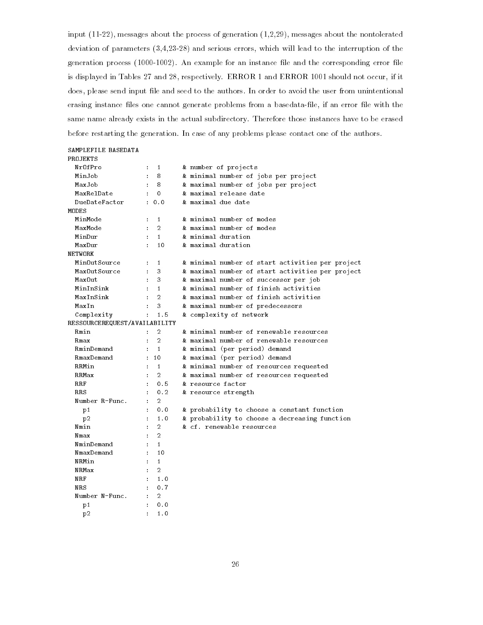input (11-22), messages about the process of generation (1,2,29), messages about the nontolerated deviation of parameters (3,4,23-28) and serious errors, which will lead to the interruption of the generation process  $(1000-1002)$ . An example for an instance file and the corresponding error file is displayed in Tables 27 and 28, respectively. ERROR 1 and ERROR 1001 should not occur, if it does, please send input file and seed to the authors. In order to avoid the user from unintentional erasing instance files one cannot generate problems from a basedata-file, if an error file with the same name already exists in the actual subdirectory. Therefore those instances have to be erased before restarting the generation. In case of any problems please contact one of the authors.

## SAMPLEFILE BASEDATA PROJEKTS NrOfPro : 1 & number of projects MinJob : 8 & minimal number of jobs per project MaxJob : 8 & maximal number of jobs per project **MODES** MinMode MaxMode MinOutSource : 1 & minimal number of start activities per project MaxOutSource : 3 & maximal number of start activities per project  $M$  , such that  $M$  is 3  $\mu$  maximal number of successor per job  $M$  . The successor per job  $M$ MaxIn : 3 & maximal number of predecessors Complexity : 1.5 & complexity of network RESSOURCEREQUEST/AVAILABILITY Rmin : 2 & minimal number of renewable resources RminDemand : 1 & minimal (per period) demand RmaxDemand : 10 & maximal (per period) demand RRMin : 1 & minimal number of resources requested RRMax : 2 & maximal number of resources requested RRS : 0.2 & resource strength p1 : 0.0 & probability to choose a constant function p2 : 1.0 & probability to choose a decreasing function Nmin : 2 & cf. renewable resources  $\cdot$  : 1 **NRMin**  $\cdot$  2 NRMax NRF : 1.0<br>NRS : 0.7 NRS :  $0.7$ Number N-Func. : 2 p1 : 0.0

 $\blacksquare$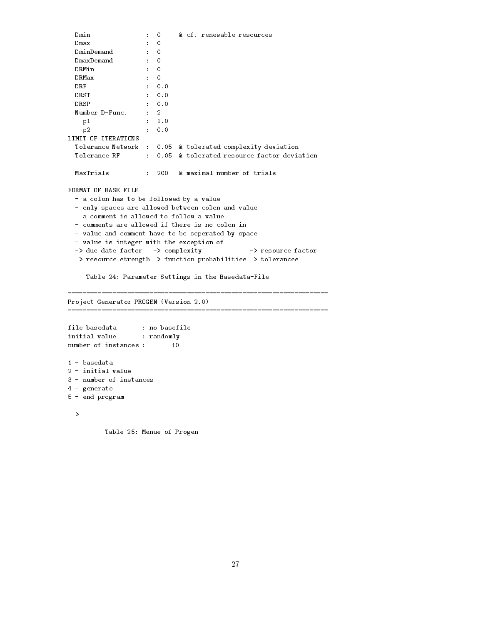```
Dmin : 0 & cf. renewable resources
 DRMin : 0
   \blacksquarep2 : 0.0
LIMIT OF ITERATIONS
 Tolerance Network : 0.05 & tolerated complexity deviation
 Tolerance RF : 0.05 & tolerated resource factor deviation
 MaxTrials : 200 & maximal number of trials
FORMAT OF BASE FILE
 - a colon has to be followed by a value
 - only spaces are allowed between colon and value
 - a comment is allowed to follow a value
 - comments are allowed if there is no colon in
 - value and comment have to be seperated by space
 - value is integer with the exception of
 -> due date factor -> complexity -> resource factor
 -> resource strength -> function probabilities -> tolerances
   Table 24: Parameter Settings in the Basedata-File
Project Generator PROGEN (Version 2.0)
initial value : randomly
number of instances : 10
1 - basedata
2 - initial value
3 - number of instances
4 - generate
5 - end program
```
Table 25: Menue of Progen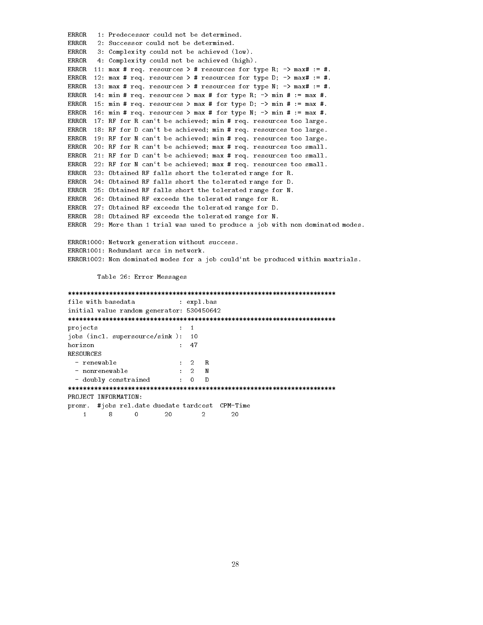ERROR 1: Predecessor could not be determined. ERROR 2: Successor could not be determined. ERROR 3: Complexity could not be achieved (low). ERROR 4: Complexity could not be achieved (high). ERROR 11: max # req. resources > # resources for type R;  $\rightarrow$  max# := #. ERROR 12: max # req. resources > # resources for type D; -> max# := #. ERROR 13: max # req. resources > # resources for type N;  $\rightarrow$  max# := #. ERROR 14: min # req. resources > max # for type R;  $\rightarrow$  min # := max #. ERROR 15: min # req. resources > max # for type D;  $\rightarrow$  min # := max #. ERROR 16: min # req. resources > max # for type N; -> min # := max #. ERROR 17: RF for R can't be achieved; min # req. resources too large. ERROR 18: RF for D can't be achieved; min # req. resources too large. ERROR 19: RF for N can't be achieved; min # req. resources too large. ERROR 20: RF for R can't be achieved; max # req. resources too small. ERROR 21: RF for D can't be achieved; max # req. resources too small. ERROR 22: RF for N can't be achieved; max # req. resources too small. ERROR 23: Obtained RF falls short the tolerated range for R. ERROR 24: Obtained RF falls short the tolerated range for D. ERROR 25: Obtained RF falls short the tolerated range for N. ERROR 26: Obtained RF exceeds the tolerated range for R. ERROR 27: Obtained RF exceeds the tolerated range for D. ERROR 28: Obtained RF exceeds the tolerated range for N. ERROR 29: More than 1 trial was used to produce a job with non dominated modes. ERROR1000: Network generation without success. ERROR1001: Redundant arcs in network. ERROR1002: Non dominated modes for a job could'nt be produced within maxtrials.

Table 26: Error Messages

file with basedata : expl.bas initial value random generator: 530450642 \*\*\*\*\*\*\*\*\*\*\*\*\*\*\*\*\*\*\*\*\*\*\*\*\*\*\*\*\*\*\*\*\*\*\*\*\*\*\*\*\*\*\*\*\*\*\*\*\*\*\*\*\*\*\*\*\*\*\*\*\*\*\*\*\*\*\*\*\*\*\*\* projects : 1 jobs (incl. supersource/sink ): 10  $\cdot$  : 47 horizon **RESOURCES** - renewable : 2<br>- nonrenewable : 2  $\mathbf R$ N  $d = 0$ \*\*\*\*\*\*\*\*\*\*\*\*\*\*\*\*\*\*\*\*\*\*\*\*\*\*\*\*\*\*\*\*\*\*\*\*\*\*\*\*\*\*\*\*\*\*\*\*\*\*\*\*\*\*\*\*\*\*\*\*\*\*\*\*\*\*\*\*\*\*\*\* PROJECT INFORMATION: pronr. #jobs rel.date duedate tardcost CPM-Time 1 8 0 20 20 20  $\sim$  1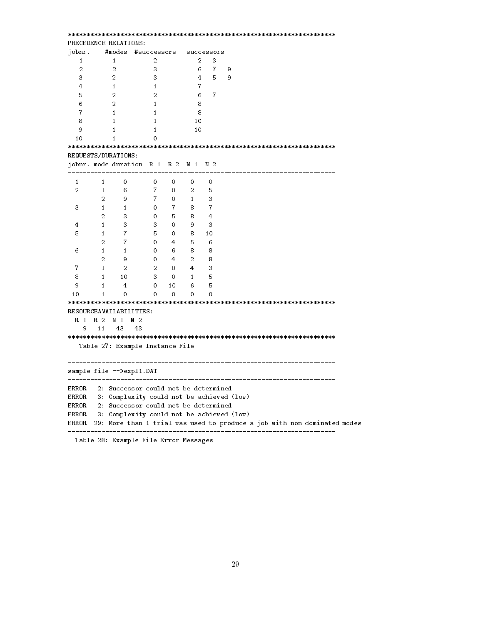| PRECEDENCE RELATIONS: |                                  |                                                                                   |                |                |                |   |                         |  |  |  |  |  |
|-----------------------|----------------------------------|-----------------------------------------------------------------------------------|----------------|----------------|----------------|---|-------------------------|--|--|--|--|--|
| jobnr.                | #modes                           | #successors                                                                       |                |                | successors     |   |                         |  |  |  |  |  |
| $\mathbf{1}$          | $\mathbf{1}$                     | 2                                                                                 |                | 2              | 3              |   |                         |  |  |  |  |  |
| $\overline{2}$        | $\overline{2}$                   | 3                                                                                 |                | 6.             | $\overline{7}$ | 9 |                         |  |  |  |  |  |
| 3                     | $\overline{2}$                   | 3                                                                                 |                | $\overline{4}$ | 5              | 9 |                         |  |  |  |  |  |
| 4                     | $\mathbf{1}$                     | $\mathbf{1}$                                                                      |                | 7              |                |   |                         |  |  |  |  |  |
| 5                     | $\overline{2}$                   | $\overline{2}$                                                                    |                | 6              | $\overline{7}$ |   |                         |  |  |  |  |  |
| 6                     | 2                                | $\mathbf{1}$                                                                      |                | 8              |                |   |                         |  |  |  |  |  |
| $\overline{7}$        | $\mathbf{1}$                     | $\mathbf{1}$                                                                      |                | 8              |                |   |                         |  |  |  |  |  |
| 8                     | $\mathbf{1}$                     | $\mathbf{1}$                                                                      |                | 10             |                |   |                         |  |  |  |  |  |
| 9                     | 1                                | $\mathbf{1}$                                                                      |                | 10             |                |   |                         |  |  |  |  |  |
| 10                    | $\mathbf{1}$                     | $\Omega$                                                                          |                |                |                |   |                         |  |  |  |  |  |
|                       |                                  |                                                                                   |                |                |                |   |                         |  |  |  |  |  |
|                       | REQUESTS/DURATIONS:              |                                                                                   |                |                |                |   |                         |  |  |  |  |  |
|                       |                                  | jobnr. mode duration R 1 R 2 N 1 N 2                                              |                |                |                |   |                         |  |  |  |  |  |
|                       |                                  |                                                                                   | .              |                |                |   | ----------------------- |  |  |  |  |  |
| 1                     | $\mathbf{1}$                     | $\mathbf 0$<br>$\overline{0}$                                                     | $\mathbf 0$    | $\mathbf{0}$   | $\overline{0}$ |   |                         |  |  |  |  |  |
| 2                     | $\mathbf{1}$                     | 6 <sup>1</sup><br>7 <sup>7</sup>                                                  | $\mathbf{0}$   | $\overline{2}$ | 5              |   |                         |  |  |  |  |  |
|                       | $\overline{2}$                   | 9<br>$\overline{7}$                                                               | $\mathbf 0$    | $\mathbf{1}$   | 3              |   |                         |  |  |  |  |  |
| 3                     | $\mathbf{1}$                     | $\mathbf{1}$<br>$\mathbf{0}$                                                      | $\overline{7}$ | 8              | $\overline{7}$ |   |                         |  |  |  |  |  |
|                       | $\overline{2}$                   | 3 <sup>7</sup><br>$\mathbf{0}$                                                    | 5              | 8              | $\overline{4}$ |   |                         |  |  |  |  |  |
| 4                     | $\mathbf{1}$                     | 3<br>3                                                                            | $\mathbf 0$    | 9              | 3              |   |                         |  |  |  |  |  |
| 5                     | $\mathbf{1}$                     | 7 <sup>7</sup><br>5                                                               | 0              | 8.             | 10             |   |                         |  |  |  |  |  |
|                       | $\overline{2}$                   | $\overline{7}$<br>$\mathbf{0}$                                                    | 4              | 5              | 6              |   |                         |  |  |  |  |  |
| 6                     | $\mathbf{1}$                     | $\mathbf{1}$<br>0                                                                 | 6              | 8              | 8              |   |                         |  |  |  |  |  |
|                       | $\overline{2}$                   | 9<br>0                                                                            | $\overline{4}$ | $\overline{2}$ | 8              |   |                         |  |  |  |  |  |
| $\overline{7}$        | $\mathbf{1}$                     | $\overline{2}$<br>$\overline{2}$                                                  | $\mathbf{0}$   | 4              | 3              |   |                         |  |  |  |  |  |
| 8                     | $\mathbf{1}$                     | 3 <sup>1</sup><br>10                                                              | $\mathbf 0$    | $\mathbf{1}$   | 5              |   |                         |  |  |  |  |  |
| 9                     | $\mathbf{1}$                     | $\overline{4}$<br>0                                                               | 10             | 6              | 5              |   |                         |  |  |  |  |  |
| 10                    | 1                                | $\mathbf 0$<br>0                                                                  | $\mathbf 0$    | 0              | 0              |   |                         |  |  |  |  |  |
|                       |                                  |                                                                                   |                |                |                |   |                         |  |  |  |  |  |
|                       | RESOURCEAVAILABILITIES:          |                                                                                   |                |                |                |   |                         |  |  |  |  |  |
| R <sub>1</sub>        | R <sub>2</sub><br>N <sub>1</sub> | N <sub>2</sub>                                                                    |                |                |                |   |                         |  |  |  |  |  |
| 9                     | 11<br>43                         | 43                                                                                |                |                |                |   |                         |  |  |  |  |  |
|                       |                                  |                                                                                   |                |                |                |   |                         |  |  |  |  |  |
|                       |                                  |                                                                                   |                |                |                |   |                         |  |  |  |  |  |
|                       |                                  | Table 27: Example Instance File                                                   |                |                |                |   |                         |  |  |  |  |  |
|                       |                                  |                                                                                   |                |                |                |   |                         |  |  |  |  |  |
|                       |                                  | sample file -->expl1.DAT                                                          |                |                |                |   |                         |  |  |  |  |  |
|                       |                                  |                                                                                   |                |                |                |   |                         |  |  |  |  |  |
|                       |                                  |                                                                                   |                |                |                |   |                         |  |  |  |  |  |
| ERROR<br>ERROR        |                                  | 2: Successor could not be determined<br>3: Complexity could not be achieved (low) |                |                |                |   |                         |  |  |  |  |  |
|                       |                                  | ERROR 2: Successor could not be determined                                        |                |                |                |   |                         |  |  |  |  |  |
|                       |                                  |                                                                                   |                |                |                |   |                         |  |  |  |  |  |
|                       |                                  | ERROR $\,$ 3: Complexity could not be achieved (low)                              |                |                |                |   |                         |  |  |  |  |  |
|                       |                                  | ERROR 29: More than 1 trial was used to produce a job with non dominated modes    |                |                |                |   | --------------------    |  |  |  |  |  |
|                       |                                  | Table 00: Example Eile Exper Messagger                                            |                |                |                |   |                         |  |  |  |  |  |

Table 28: Example File Error Messages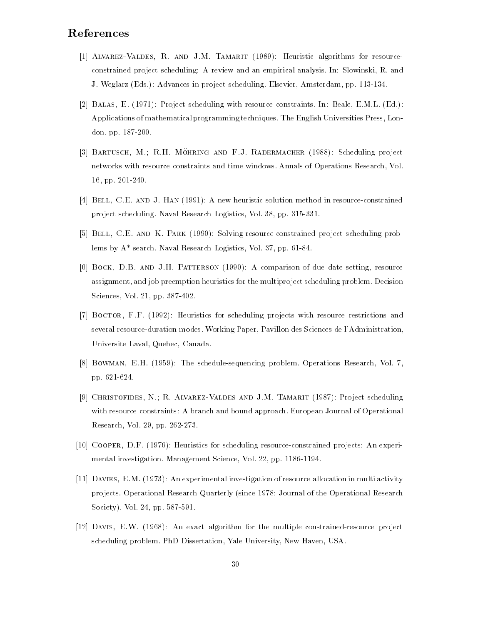## References

- [1] ALVAREZ-VALDES, R. AND J.M. TAMARIT (1989): Heuristic algorithms for resourceconstrained project scheduling: A review and an empirical analysis. In: Slowinski, R. and J. Weglarz (Eds.): Advances in project scheduling. Elsevier, Amsterdam, pp. 113-134.
- [2] Balas, E. (1971): Project scheduling with resource constraints. In: Beale, E.M.L. (Ed.): Applications of mathematical programming techniques. The English Universities Press, London, pp. 187-200.
- [3] BARTUSCH, M.; R.H. MÖHRING AND F.J. RADERMACHER (1988): Scheduling project networks with resource constraints and time windows. Annals of Operations Research, Vol. 16, pp. 201-240.
- [4] Bell, C.E. and J. Han (1991): A new heuristic solution method in resource-constrained project scheduling. Naval Research Logistics, Vol. 38, pp. 315-331.
- [5] Bell, C.E. and K. Park (1990): Solving resource-constrained project scheduling problems by A\* search. Naval Research Logistics, Vol. 37, pp. 61-84.
- [6] Bock, D.B. and J.H. Patterson (1990): A comparison of due date setting, resource assignment, and job preemption heuristics for the multiproject scheduling problem. Decision Sciences, Vol. 21, pp. 387-402.
- [7] Boctor, F.F. (1992): Heuristics for scheduling projects with resource restrictions and several resource-duration modes. Working Paper, Pavillon des Sciences de l'Administration, Universite Laval, Quebec, Canada.
- [8] Bowman, E.H. (1959): The schedule-sequencing problem. Operations Research, Vol. 7, pp. 621-624.
- [9] Christofides, N.; R. Alvarez-Valdes and J.M. Tamarit (1987): Project scheduling with resource constraints: A branch and bound approach. European Journal of Operational Research, Vol. 29, pp. 262-273.
- [10] Cooper, D.F. (1976): Heuristics for scheduling resource-constrained projects: An experi mental investigation. Management Science, Vol. 22, pp. 1186-1194.
- [11] Davies, E.M. (1973): An experimental investigation of resource allocation in multi activity projects. Operational Research Quarterly (since 1978: Journal of the Operational Research Society), Vol. 24, pp. 587-591.
- [12] Davis, E.W. (1968): An exact algorithm for the multiple constrained-resource project scheduling problem. PhD Dissertation, Yale University, New Haven, USA.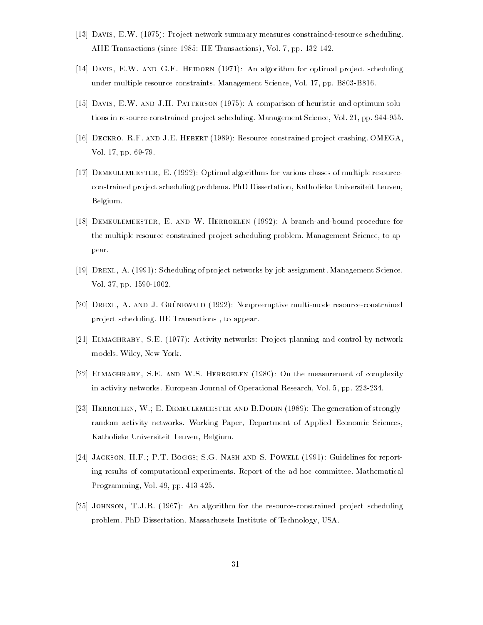- [13] Davis, E.W. (1975): Project network summary measures constrained-resource scheduling. AIIE Transactions (since 1985: IIE Transactions), Vol. 7, pp. 132-142.
- [14] DAVIS, E.W. AND G.E. HEIDORN (1971): An algorithm for optimal project scheduling under multiple resource constraints. Management Science, Vol. 17, pp. B803-B816.
- [15] Davis, E.W. and J.H. Patterson (1975): A comparison of heuristic and optimum solutions in resource-constrained project scheduling. Management Science, Vol. 21, pp. 944-955.
- [16] Deckro, R.F. and J.E. Hebert (1989): Resource constrained project crashing. OMEGA, Vol. 17, pp. 69-79.
- [17] Demeulemeester, E. (1992): Optimal algorithms for various classes of multiple resourceconstrained project scheduling problems. PhD Dissertation, Katholieke Universiteit Leuven, Belgium.
- [18] Demeulemeester, E. and W. Herroelen (1992): A branch-and-bound procedure for the multiple resource-constrained project scheduling problem. Management Science, to appear.
- [19] Drexl, A. (1991): Scheduling of project networks by job assignment. Management Science, Vol. 37, pp. 1590-1602.
- [20] DREXL, A. AND J. GRÜNEWALD (1992): Nonpreemptive multi-mode resource-constrained project scheduling. IIE Transactions , to appear.
- [21] Elmaghraby, S.E. (1977): Activity networks: Project planning and control by network models. Wiley, New York.
- [22] ELMAGHRABY, S.E. AND W.S. HERROELEN (1980): On the measurement of complexity in activity networks. European Journal of Operational Research, Vol. 5, pp. 223-234.
- [23] Herroelen, W.; E. Demeulemeester and B.Dodin (1989): The generation of stronglyrandom activity networks. Working Paper, Department of Applied Economic Sciences, Katholieke Universiteit Leuven, Belgium.
- [24] Jackson, H.F.; P.T. Boggs; S.G. Nash and S. Powell (1991): Guidelines for reporting results of computational experiments. Report of the ad hoc committee. Mathematical Programming, Vol. 49, pp. 413-425.
- [25] Johnson, T.J.R. (1967): An algorithm for the resource-constrained project scheduling problem. PhD Dissertation, Massachusets Institute of Technology, USA.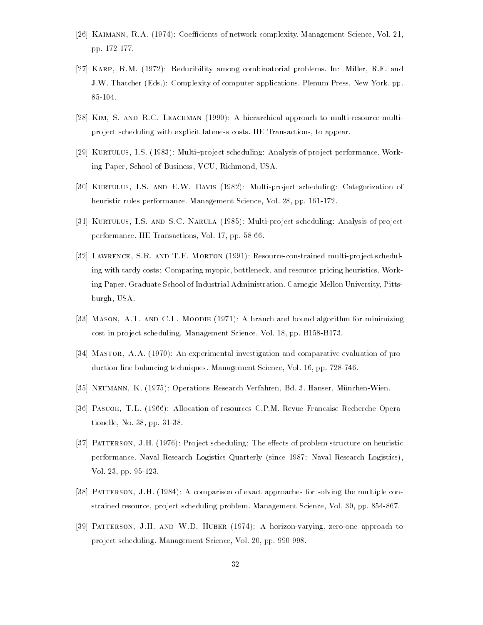- [26] KAIMANN, R.A. (1974): Coefficients of network complexity. Management Science, Vol. 21, pp. 172-177.
- [27] Karp, R.M. (1972): Reducibility among combinatorial problems. In: Miller, R.E. and J.W. Thatcher (Eds.): Complexity of computer applications. Plenum Press, New York, pp. 85-104.
- [28] Kim, S. and R.C. Leachman (1990): A hierarchical approach to multi-resource multiproject scheduling with explicit lateness costs. IIE Transactions, to appear.
- [29] KURTULUS, I.S. (1983): Multi-project scheduling: Analysis of project performance. Working Paper, School of Business, VCU, Richmond, USA.
- [30] Kurtulus, I.S. and E.W. Davis (1982): Multi-project scheduling: Categorization of heuristic rules performance. Management Science, Vol. 28, pp. 161-172.
- [31] Kurtulus, I.S. and S.C. Narula (1985): Multi-project scheduling: Analysis of project performance. IIE Transactions, Vol. 17, pp. 58-66.
- [32] Lawrence, S.R. and T.E. Morton (1991): Resource-constrained multi-project scheduling with tardy costs: Comparing myopic, bottleneck, and resource pricing heuristics. Working Paper, Graduate School of Industrial Administration, Carnegie Mellon University, Pittsburgh, USA.
- [33] Mason, A.T. and C.L. Moodie (1971): A branch and bound algorithm for minimizing cost in project scheduling. Management Science, Vol. 18, pp. B158-B173.
- [34] MASTOR, A.A. (1970): An experimental investigation and comparative evaluation of production line balancing techniques. Management Science, Vol. 16, pp. 728-746.
- [35] Neumann, K. (1975): Operations Research Verfahren, Bd. 3. Hanser, Munchen-Wien.
- [36] Pascoe, T.L. (1966): Allocation of resources C.P.M. Revue Francaise Recherche Operationelle, No. 38, pp. 31-38.
- [37] PATTERSON, J.H. (1976): Project scheduling: The effects of problem structure on heuristic performance. Naval Research Logistics Quarterly (since 1987: Naval Research Logistics), Vol. 23, pp. 95-123.
- [38] Patterson, J.H. (1984): A comparison of exact approaches for solving the multiple constrained resource, project scheduling problem. Management Science, Vol. 30, pp. 854-867.
- [39] Patterson, J.H. and W.D. Huber (1974): A horizon-varying, zero-one approach to project scheduling. Management Science, Vol. 20, pp. 990-998.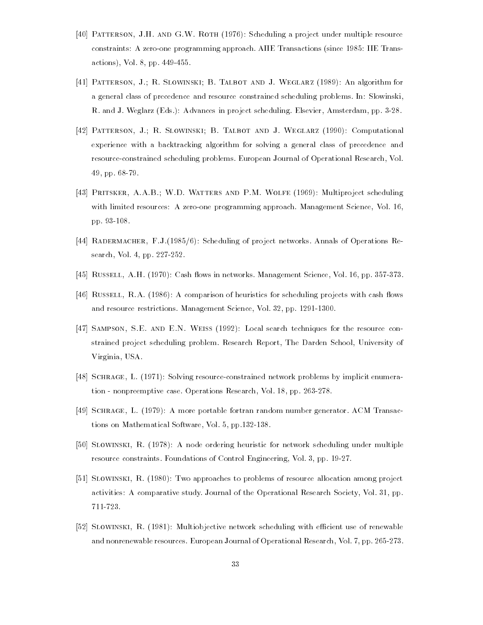- [40] PATTERSON, J.H. AND G.W. ROTH (1976): Scheduling a project under multiple resource constraints: A zero-one programming approach. AIIE Transactions (since 1985: IIE Transactions), Vol. 8, pp. 449-455.
- [41] Patterson, J.; R. Slowinski; B. Talbot and J. Weglarz (1989): An algorithm for a general class of precedence and resource constrained scheduling problems. In: Slowinski, R. and J. Weglarz (Eds.): Advances in project scheduling. Elsevier, Amsterdam, pp. 3-28.
- [42] Patterson, J.; R. Slowinski; B. Talbot and J. Weglarz (1990): Computational experience with a backtracking algorithm for solving a general class of precedence and resource-constrained scheduling problems. European Journal of Operational Research, Vol. 49, pp. 68-79.
- [43] Pritsker, A.A.B.; W.D. Watters and P.M. Wolfe (1969): Multiproject scheduling with limited resources: A zero-one programming approach. Management Science, Vol. 16, pp. 93-108.
- [44] Radermacher, F.J.(1985/6): Scheduling of project networks. Annals of Operations Research, Vol. 4, pp. 227-252.
- [45] RUSSELL, A.H. (1970): Cash flows in networks. Management Science, Vol. 16, pp. 357-373.
- [46] RUSSELL, R.A. (1986): A comparison of heuristics for scheduling projects with cash flows and resource restrictions. Management Science, Vol. 32, pp. 1291-1300.
- [47] Sampson, S.E. and E.N. Weiss (1992): Local search techniques for the resource constrained project scheduling problem. Research Report, The Darden School, University of Virginia, USA.
- [48] SCHRAGE, L. (1971): Solving resource-constrained network problems by implicit enumeration - nonpreemptive case. Operations Research, Vol. 18, pp. 263-278.
- [49] Schrage, L. (1979): A more portable fortran random number generator. ACM Transactions on Mathematical Software, Vol. 5, pp.132-138.
- [50] Slowinski, R. (1978): A node ordering heuristic for network scheduling under multiple resource constraints. Foundations of Control Engineering, Vol. 3, pp. 19-27.
- [51] Slowinski, R. (1980): Two approaches to problems of resource allocation among project activities: A comparative study. Journal of the Operational Research Society, Vol. 31, pp. 711-723.
- [52] SLOWINSKI, R. (1981): Multiobjective network scheduling with efficient use of renewable and nonrenewable resources. European Journal of Operational Research, Vol. 7, pp. 265-273.